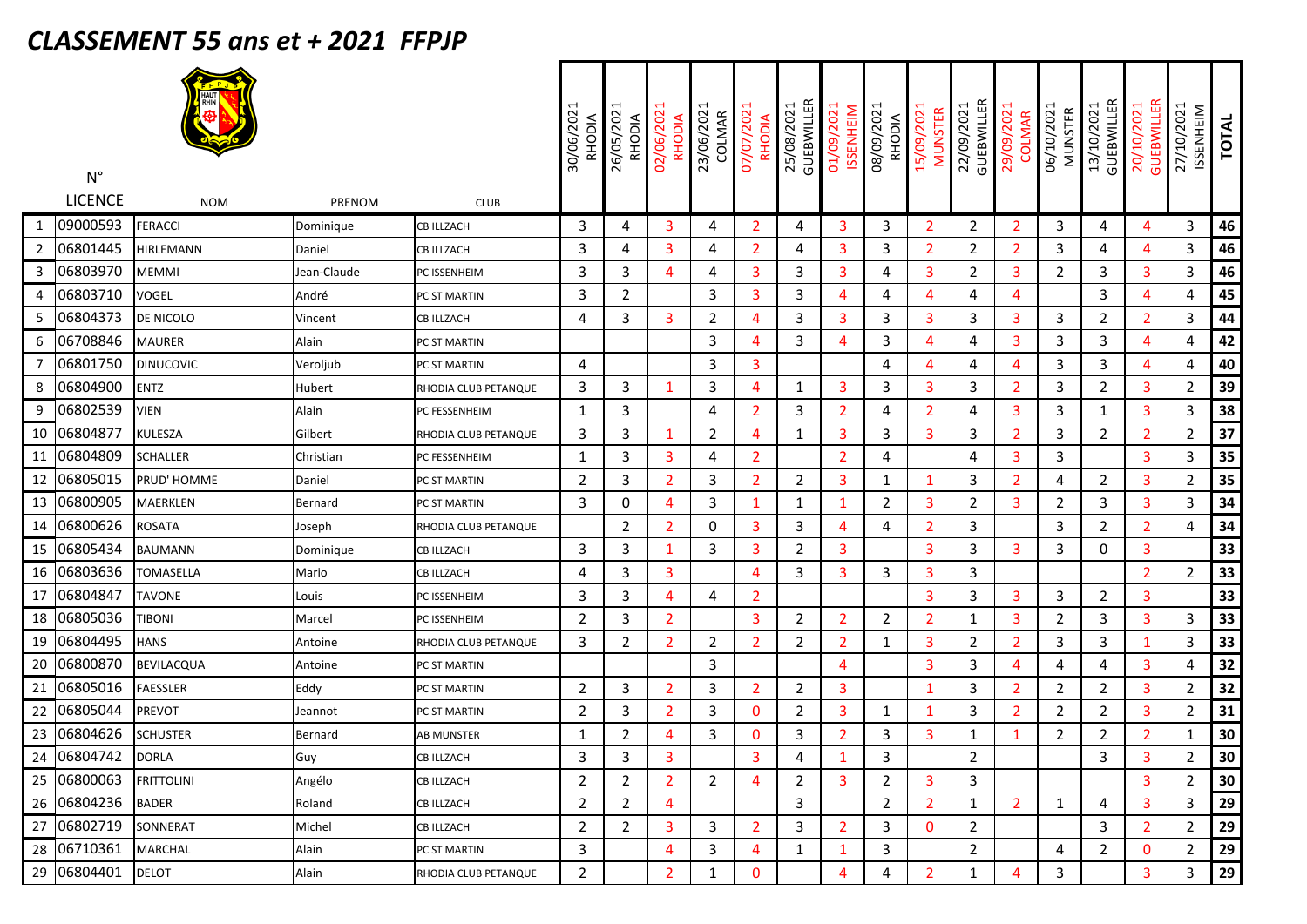## *CLASSEMENT 55 ans et + 2021 FFPJP*

|                | $\mathsf{N}^\circ$ |                   |             |                      | 30/06/2021<br>RHODIA | 26/05/2021<br>RHODIA | 02/06/202<br>RHODIA | 23/06/202<br>COLMAR | 07/07/202<br><b>RHODIA</b> | GUEBWILLER<br>25/08/2021 | 01/09/2021<br><b>ISSENHEIM</b> | 08/09/2021<br><b>RHODIA</b> | 15/09/2021<br><b>MUNSTER</b> | GUEBWILLER<br>22/09/2021 | 29/09/2021<br><b>COLMAR</b> | 06/10/2021<br><b>MUNSTER</b> | GUEBWILLER<br>13/10/2021 | GUEBWILLER<br>20/10/2021 | 27/10/2021<br>ISSENHEIM | <b>TOTAL</b> |
|----------------|--------------------|-------------------|-------------|----------------------|----------------------|----------------------|---------------------|---------------------|----------------------------|--------------------------|--------------------------------|-----------------------------|------------------------------|--------------------------|-----------------------------|------------------------------|--------------------------|--------------------------|-------------------------|--------------|
|                | <b>LICENCE</b>     | <b>NOM</b>        | PRENOM      | <b>CLUB</b>          |                      |                      |                     |                     |                            |                          |                                |                             |                              |                          |                             |                              |                          |                          |                         |              |
| 1              | 09000593           | <b>FERACCI</b>    | Dominique   | CB ILLZACH           | 3                    | 4                    | $\overline{3}$      | 4                   | 2                          | 4                        | 3                              | 3                           | $\overline{2}$               | $\overline{2}$           | $\overline{2}$              | 3                            | 4                        | 4                        | 3                       | 46           |
| $\overline{2}$ | 06801445           | HIRLEMANN         | Daniel      | <b>CB ILLZACH</b>    | 3                    | 4                    | 3                   | 4                   | $\overline{2}$             | 4                        | 3                              | 3                           | $\overline{2}$               | $\overline{2}$           | 2                           | 3                            | 4                        | 4                        | 3                       | 46           |
| 3              | 06803970           | <b>MEMMI</b>      | Jean-Claude | PC ISSENHEIM         | 3                    | 3                    | $\overline{4}$      | 4                   | 3                          | 3                        | 3                              | 4                           | 3                            | $\overline{2}$           | 3                           | $\overline{2}$               | 3                        | 3                        | 3                       | 46           |
| 4              | 06803710           | VOGEL             | André       | PC ST MARTIN         | 3                    | 2                    |                     | 3                   | 3                          | 3                        | 4                              | 4                           | $\overline{4}$               | 4                        | 4                           |                              | 3                        | 4                        | 4                       | 45           |
| 5              | 06804373           | DE NICOLO         | Vincent     | <b>CB ILLZACH</b>    | 4                    | 3                    | 3                   | $\overline{2}$      | 4                          | 3                        | 3                              | 3                           | 3                            | 3                        | 3                           | 3                            | $\overline{2}$           | $\overline{2}$           | 3                       | 44           |
| 6              | 06708846           | <b>MAURER</b>     | Alain       | PC ST MARTIN         |                      |                      |                     | 3                   | $\boldsymbol{\Delta}$      | 3                        | 4                              | 3                           | $\overline{4}$               | 4                        | 3                           | 3                            | 3                        | 4                        | 4                       | 42           |
| 7              | 06801750           | <b>DINUCOVIC</b>  | Veroljub    | PC ST MARTIN         | 4                    |                      |                     | 3                   | 3                          |                          |                                | 4                           | $\overline{4}$               | 4                        | 4                           | 3                            | 3                        | 4                        | 4                       | 40           |
| 8              | 06804900           | <b>ENTZ</b>       | Hubert      | RHODIA CLUB PETANQUE | 3                    | 3                    | -1                  | 3                   | 4                          | 1                        | 3                              | 3                           | 3                            | 3                        | 2                           | 3                            | $\overline{2}$           | 3                        | $\overline{2}$          | 39           |
| 9              | 06802539           | <b>VIEN</b>       | Alain       | PC FESSENHEIM        | 1                    | 3                    |                     | 4                   | $\overline{2}$             | 3                        | $\overline{2}$                 | 4                           | $\overline{2}$               | 4                        | 3                           | 3                            | 1                        | 3                        | 3                       | 38           |
| 10             | 06804877           | <b>KULESZA</b>    | Gilbert     | RHODIA CLUB PETANQUE | 3                    | 3                    | -1                  | $\overline{2}$      | 4                          | 1                        | 3                              | 3                           | 3                            | 3                        | 2                           | 3                            | $\overline{2}$           | $\overline{2}$           | $\overline{2}$          | 37           |
| 11             | 06804809           | SCHALLER          | Christian   | PC FESSENHEIM        | $\mathbf{1}$         | 3                    | 3                   | 4                   | $\overline{2}$             |                          | $\overline{2}$                 | 4                           |                              | 4                        | 3                           | 3                            |                          | 3                        | 3                       | 35           |
| 12             | 06805015           | PRUD' HOMME       | Daniel      | PC ST MARTIN         | $\overline{2}$       | 3                    | $\overline{2}$      | 3                   | $\overline{2}$             | 2                        | 3                              | 1                           | 1                            | 3                        | 2                           | 4                            | $\overline{2}$           | 3                        | 2                       | 35           |
| 13             | 06800905           | MAERKLEN          | Bernard     | PC ST MARTIN         | 3                    | 0                    | $\overline{4}$      | 3                   | 1                          | 1                        | 1                              | 2                           | 3                            | $\overline{2}$           | 3                           | 2                            | 3                        | 3                        | 3                       | 34           |
| 14             | 06800626           | <b>ROSATA</b>     | Joseph      | RHODIA CLUB PETANQUE |                      | 2                    | $\overline{2}$      | $\mathbf 0$         | 3                          | 3                        | 4                              | 4                           | $\overline{2}$               | 3                        |                             | 3                            | $\overline{2}$           | 2                        | 4                       | 34           |
| 15             | 06805434           | <b>BAUMANN</b>    | Dominique   | <b>CB ILLZACH</b>    | 3                    | 3                    | 1                   | 3                   | 3                          | $\overline{2}$           | 3                              |                             | 3                            | 3                        | 3                           | 3                            | 0                        | 3                        |                         | 33           |
| 16             | 06803636           | TOMASELLA         | Mario       | CB ILLZACH           | 4                    | 3                    | 3                   |                     | 4                          | 3                        | 3                              | 3                           | 3                            | 3                        |                             |                              |                          | 2                        | 2                       | 33           |
| 17             | 06804847           | TAVONE            | Louis       | PC ISSENHEIM         | 3                    | 3                    | $\overline{4}$      | 4                   | $\overline{2}$             |                          |                                |                             | 3                            | 3                        | 3                           | 3                            | $\overline{2}$           | 3                        |                         | 33           |
| 18             | 06805036           | <b>TIBONI</b>     | Marcel      | PC ISSENHEIM         | $\overline{2}$       | 3                    | $\overline{2}$      |                     | 3                          | $\overline{2}$           | $\overline{2}$                 | 2                           | $\overline{2}$               | $\mathbf{1}$             | 3                           | $\overline{2}$               | 3                        | 3                        | 3                       | 33           |
| 19             | 06804495           | <b>HANS</b>       | Antoine     | RHODIA CLUB PETANQUE | 3                    | $\overline{2}$       | $\overline{2}$      | $\overline{2}$      | $\overline{2}$             | $\overline{2}$           | $\overline{2}$                 | 1                           | 3                            | $\overline{2}$           | 2                           | 3                            | 3                        | 1                        | 3                       | 33           |
| 20             | 06800870           | <b>BEVILACQUA</b> | Antoine     | PC ST MARTIN         |                      |                      |                     | 3                   |                            |                          | 4                              |                             | 3                            | 3                        | 4                           | 4                            | 4                        | 3                        | 4                       | 32           |
| 21             | 06805016           | <b>FAESSLER</b>   | Eddy        | PC ST MARTIN         | $\overline{2}$       | 3                    | $\overline{2}$      | 3                   | $\overline{2}$             | $\overline{2}$           | 3                              |                             | 1                            | 3                        | 2                           | $\overline{2}$               | $\overline{2}$           | 3                        | $\overline{2}$          | 32           |
| 22             | 06805044           | <b>PREVOT</b>     | Jeannot     | PC ST MARTIN         | $\overline{2}$       | 3                    | $\overline{2}$      | 3                   | 0                          | $\overline{2}$           | 3                              | 1                           | -1                           | 3                        | 2                           | 2                            | $\overline{2}$           | 3                        | $\overline{2}$          | 31           |
| 23             | 06804626           | <b>SCHUSTER</b>   | Bernard     | AB MUNSTER           | $\mathbf{1}$         | 2                    | 4                   | 3                   | 0                          | 3                        | $\overline{2}$                 | 3                           | 3                            | 1                        | 1                           | 2                            | $\overline{2}$           | 2                        | 1                       | 30           |
|                | 24 06804742        | <b>IDORLA</b>     | Guy         | CB ILLZACH           | $\mathsf{3}$         | 3                    | 3                   |                     | 3                          | 4                        | $\mathbf{1}$                   | 3                           |                              | $\overline{2}$           |                             |                              | 3                        | 3                        | $\overline{2}$          | 30           |
|                | 25 06800063        | <b>FRITTOLINI</b> | Angélo      | <b>CB ILLZACH</b>    | $\overline{2}$       | $\overline{2}$       | $\overline{2}$      | $\overline{2}$      | 4                          | $\overline{2}$           | 3                              | $\overline{2}$              | 3                            | $\mathbf{3}$             |                             |                              |                          | 3                        | $\overline{2}$          | 30           |
|                | 26 06804236        | <b>BADER</b>      | Roland      | <b>CB ILLZACH</b>    | $\overline{2}$       | $\overline{2}$       | 4                   |                     |                            | 3                        |                                | $\overline{2}$              | $\overline{2}$               | $\mathbf{1}$             | $\overline{2}$              | $\mathbf{1}$                 | 4                        | 3                        | 3                       | 29           |
|                | 27 06802719        | SONNERAT          | Michel      | CB ILLZACH           | $\overline{2}$       | $\overline{2}$       | 3                   | 3                   | $\overline{2}$             | 3                        | $\overline{2}$                 | 3                           | 0                            | $\overline{2}$           |                             |                              | 3                        | $\overline{2}$           | $\overline{2}$          | 29           |
|                | 28 06710361        | <b>MARCHAL</b>    | Alain       | PC ST MARTIN         | 3                    |                      | 4                   | 3                   | 4                          | $\mathbf{1}$             | 1                              | 3                           |                              | $\overline{2}$           |                             | 4                            | $\overline{2}$           | 0                        | $\overline{2}$          | 29           |
|                | 29 06804401        | <b>DELOT</b>      | Alain       | RHODIA CLUB PETANQUE | $\overline{2}$       |                      | $\overline{2}$      | $\mathbf{1}$        | 0                          |                          | 4                              | 4                           | $\overline{2}$               | $\mathbf{1}$             | 4                           | 3                            |                          | 3                        | 3                       | 29           |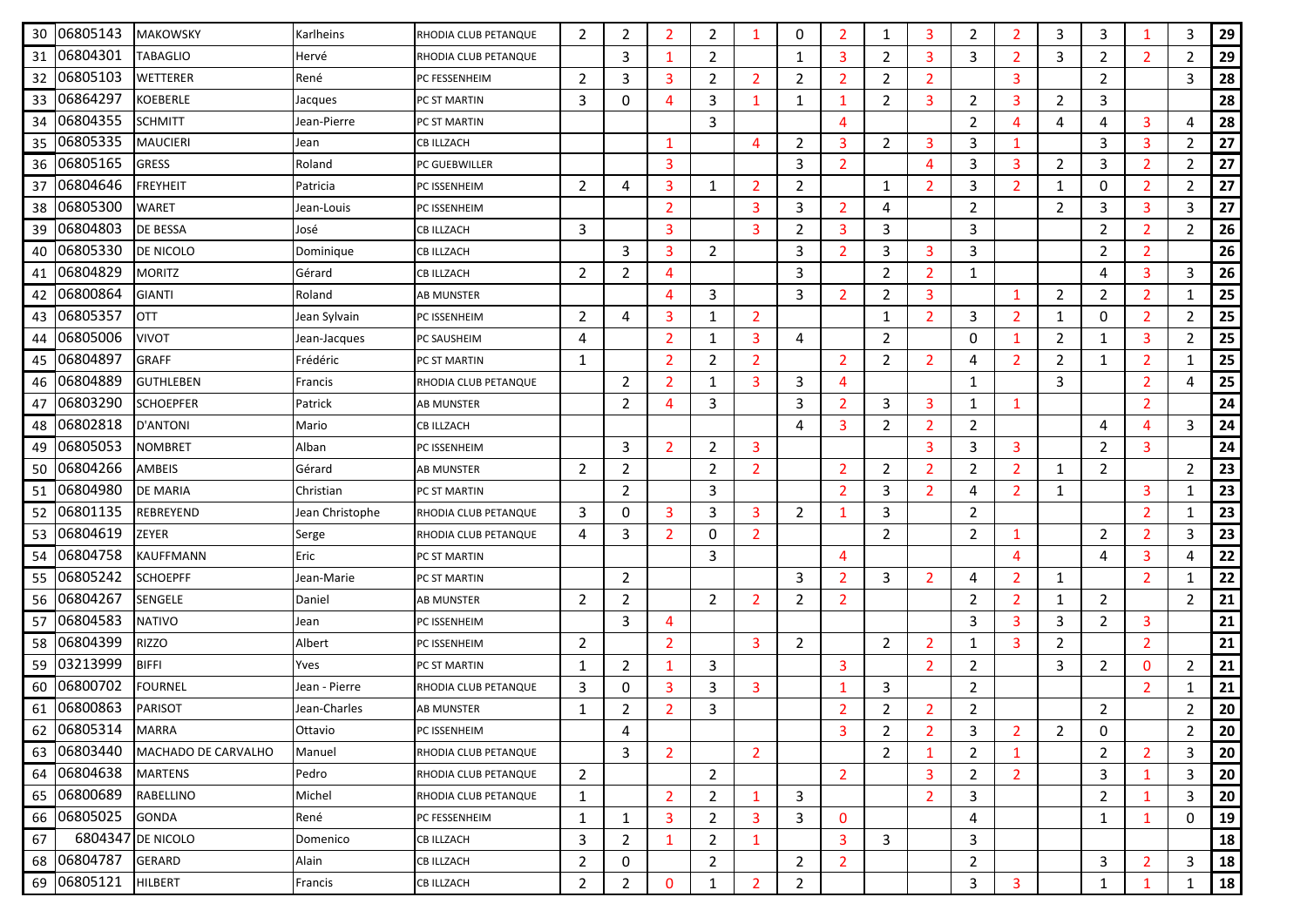| 30 | 06805143    | <b>MAKOWSKY</b>     | Karlheins       | RHODIA CLUB PETANQUE | 2              | $\overline{2}$ | 2              | 2              | 1              | 0              | $\overline{2}$ | 1              | 3              | 2              | 2              | 3              | 3              | 1              | 3              | 29 |
|----|-------------|---------------------|-----------------|----------------------|----------------|----------------|----------------|----------------|----------------|----------------|----------------|----------------|----------------|----------------|----------------|----------------|----------------|----------------|----------------|----|
| 31 | 06804301    | <b>TABAGLIO</b>     | Hervé           | RHODIA CLUB PETANQUE |                | 3              | 1              | $\overline{2}$ |                | 1              | 3              | $\overline{2}$ | 3              | 3              | $\overline{2}$ | 3              | $\overline{2}$ | $\overline{2}$ | $\overline{2}$ | 29 |
| 32 | 06805103    | <b>WETTERER</b>     | René            | PC FESSENHEIM        | $\overline{2}$ | 3              | 3              | 2              | $\overline{2}$ | $\overline{2}$ | $\overline{2}$ | $\overline{2}$ | 2              |                | 3              |                | $\overline{2}$ |                | 3              | 28 |
| 33 | 06864297    | <b>KOEBERLE</b>     | Jacques         | PC ST MARTIN         | 3              | 0              | 4              | 3              | $\mathbf{1}$   | 1              | $\mathbf{1}$   | $\overline{2}$ | 3              | $\overline{2}$ | 3              | $\overline{2}$ | 3              |                |                | 28 |
| 34 | 06804355    | <b>SCHMITT</b>      | Jean-Pierre     | PC ST MARTIN         |                |                |                | 3              |                |                | 4              |                |                | $\overline{2}$ | 4              | 4              | 4              | 3              | 4              | 28 |
| 35 | 06805335    | <b>MAUCIERI</b>     | Jean            | CB ILLZACH           |                |                | $\mathbf{1}$   |                | $\overline{4}$ | 2              | 3              | $\overline{2}$ | 3              | 3              | 1              |                | 3              | 3              | $\overline{2}$ | 27 |
| 36 | 06805165    | <b>GRESS</b>        | Roland          | PC GUEBWILLER        |                |                | 3              |                |                | 3              | $\overline{2}$ |                | 4              | 3              | 3              | 2              | 3              | $\overline{2}$ | $\overline{2}$ | 27 |
| 37 | 06804646    | <b>FREYHEIT</b>     | Patricia        | PC ISSENHEIM         | $\overline{2}$ | 4              | 3              | $\mathbf{1}$   | $\overline{2}$ | $\overline{2}$ |                | 1              | 2              | 3              | $\overline{2}$ | 1              | $\mathbf 0$    | $\overline{2}$ | $\overline{2}$ | 27 |
| 38 | 06805300    | <b>WARET</b>        | Jean-Louis      | PC ISSENHEIM         |                |                | 2              |                | 3              | 3              | $\overline{2}$ | 4              |                | $\overline{2}$ |                | 2              | 3              | 3              | 3              | 27 |
| 39 | 06804803    | <b>DE BESSA</b>     | José            | <b>CB ILLZACH</b>    | 3              |                | 3              |                | 3              | $\overline{2}$ | 3              | 3              |                | 3              |                |                | $\overline{2}$ | $\overline{2}$ | $\overline{2}$ | 26 |
| 40 | 06805330    | <b>DE NICOLO</b>    | Dominique       | CB ILLZACH           |                | 3              | 3              | $\overline{2}$ |                | 3              | $\overline{2}$ | 3              | 3              | 3              |                |                | $\overline{2}$ | $\overline{2}$ |                | 26 |
| 41 | 06804829    | <b>MORITZ</b>       | Gérard          | CB ILLZACH           | $\overline{2}$ | 2              | 4              |                |                | 3              |                | $\overline{2}$ | $\overline{2}$ | 1              |                |                | 4              | 3              | 3              | 26 |
| 42 | 06800864    | <b>GIANTI</b>       | Roland          | <b>AB MUNSTER</b>    |                |                | 4              | 3              |                | 3              | $\overline{2}$ | 2              | 3              |                | 1              | 2              | $\overline{2}$ | $\overline{2}$ | $\mathbf{1}$   | 25 |
| 43 | 06805357    | <b>OTT</b>          | Jean Sylvain    | PC ISSENHEIM         | $\overline{2}$ | 4              | 3              | $\mathbf{1}$   | $\overline{2}$ |                |                | 1              | $\overline{2}$ | 3              | $\overline{2}$ | 1              | $\mathbf 0$    | $\overline{2}$ | $\overline{2}$ | 25 |
| 44 | 06805006    | <b>VIVOT</b>        | Jean-Jacques    | PC SAUSHEIM          | 4              |                | $\overline{2}$ | 1              | 3              | 4              |                | $\overline{2}$ |                | 0              | 1              | 2              | 1              | 3              | $\overline{2}$ | 25 |
| 45 | 06804897    | <b>GRAFF</b>        | Frédéric        | PC ST MARTIN         | 1              |                | $\overline{2}$ | $\overline{2}$ | $\overline{2}$ |                | $\overline{2}$ | $\overline{2}$ | 2              | 4              | $\overline{2}$ | 2              | 1              | $\overline{2}$ | 1              | 25 |
| 46 | 06804889    | <b>GUTHLEBEN</b>    | Francis         | RHODIA CLUB PETANQUE |                | $\overline{2}$ | $\overline{2}$ | $\mathbf{1}$   | 3              | 3              | 4              |                |                | $\mathbf{1}$   |                | 3              |                | $\overline{2}$ | 4              | 25 |
| 47 | 06803290    | <b>SCHOEPFER</b>    | Patrick         | AB MUNSTER           |                | $\overline{2}$ | 4              | 3              |                | 3              | $\overline{2}$ | 3              | 3              | 1              | 1              |                |                | $\overline{2}$ |                | 24 |
| 48 | 06802818    | <b>D'ANTONI</b>     | Mario           | <b>CB ILLZACH</b>    |                |                |                |                |                | 4              | 3              | $\overline{2}$ | 2              | $\overline{2}$ |                |                | 4              | $\overline{4}$ | 3              | 24 |
| 49 | 06805053    | <b>NOMBRET</b>      | Alban           | PC ISSENHEIM         |                | 3              | 2              | $\overline{2}$ | 3              |                |                |                | 3              | 3              | 3              |                | $\overline{2}$ | 3              |                | 24 |
| 50 | 06804266    | AMBEIS              | Gérard          | AB MUNSTER           | $\overline{2}$ | $\overline{2}$ |                | $\overline{2}$ | $\overline{2}$ |                | $\overline{2}$ | $\overline{2}$ | 2              | $\overline{2}$ | $\overline{2}$ | 1              | $\overline{2}$ |                | $\overline{2}$ | 23 |
| 51 | 06804980    | <b>DE MARIA</b>     | Christian       | PC ST MARTIN         |                | $\overline{2}$ |                | 3              |                |                | $\overline{2}$ | 3              | 2              | 4              | $\overline{2}$ | 1              |                | 3              | $\mathbf{1}$   | 23 |
| 52 | 06801135    | <b>REBREYEND</b>    | Jean Christophe | RHODIA CLUB PETANQUE | 3              | 0              | 3              | 3              | 3              | 2              | $\mathbf{1}$   | 3              |                | $\overline{2}$ |                |                |                | 2              | 1              | 23 |
| 53 | 06804619    | <b>ZEYER</b>        | Serge           | RHODIA CLUB PETANQUE | 4              | 3              | 2              | 0              | $\overline{2}$ |                |                | $\overline{2}$ |                | $\overline{2}$ | 1              |                | $\overline{2}$ | $\overline{2}$ | 3              | 23 |
| 54 | 06804758    | <b>KAUFFMANN</b>    | Eric            | PC ST MARTIN         |                |                |                | 3              |                |                | 4              |                |                |                | $\overline{4}$ |                | 4              | 3              | 4              | 22 |
| 55 | 06805242    | <b>SCHOEPFF</b>     | Jean-Marie      | PC ST MARTIN         |                | $\overline{2}$ |                |                |                | 3              | $\overline{2}$ | 3              | 2              | 4              | $\overline{2}$ | 1              |                | $\overline{2}$ | 1              | 22 |
| 56 | 06804267    | <b>SENGELE</b>      | Daniel          | <b>AB MUNSTER</b>    | $\overline{2}$ | $\overline{2}$ |                | $\overline{2}$ | $\overline{2}$ | $\overline{2}$ | $\overline{2}$ |                |                | $\overline{2}$ | $\overline{2}$ | 1              | $\overline{2}$ |                | $\overline{2}$ | 21 |
| 57 | 06804583    | <b>NATIVO</b>       | Jean            | PC ISSENHEIM         |                | 3              | 4              |                |                |                |                |                |                | 3              | 3              | 3              | $\overline{2}$ | 3              |                | 21 |
| 58 | 06804399    | <b>RIZZO</b>        | Albert          | PC ISSENHEIM         | $\overline{2}$ |                | 2              |                | 3              | 2              |                | $\overline{2}$ | 2              | $\mathbf{1}$   | 3              | 2              |                | $\overline{2}$ |                | 21 |
| 59 | 03213999    | <b>BIFFI</b>        | Yves            | PC ST MARTIN         | 1              | $\overline{2}$ | 1              | 3              |                |                | 3              |                | $\overline{2}$ | $\overline{2}$ |                | 3              | $\overline{2}$ | $\mathbf{0}$   | $\overline{2}$ | 21 |
| 60 | 06800702    | <b>FOURNEL</b>      | Jean - Pierre   | RHODIA CLUB PETANQUE | 3              | 0              | 3              | 3              | 3              |                | 1              | 3              |                | $\overline{2}$ |                |                |                | $\overline{2}$ | 1              | 21 |
|    | 61 06800863 | <b>PARISOT</b>      | Jean-Charles    | <b>AB MUNSTER</b>    | 1              | 2              | 2              | 3              |                |                | 2              | 2              | 2              | $\overline{2}$ |                |                | $\overline{2}$ |                | 2              | 20 |
| 62 | 06805314    | <b>MARRA</b>        | Ottavio         | PC ISSENHEIM         |                | 4              |                |                |                |                | 3              | 2              | 2              | 3              | $\overline{2}$ | $\overline{2}$ | $\mathbf 0$    |                | $\overline{2}$ | 20 |
|    | 63 06803440 | MACHADO DE CARVALHO | Manuel          | RHODIA CLUB PETANQUE |                | 3              | $\overline{2}$ |                | $\overline{2}$ |                |                | $\overline{2}$ | -1             | $\overline{2}$ | 1              |                | $\overline{2}$ | $\overline{2}$ | 3              | 20 |
|    | 64 06804638 | <b>MARTENS</b>      | Pedro           | RHODIA CLUB PETANQUE | $\overline{2}$ |                |                | $\overline{2}$ |                |                | $\overline{2}$ |                | 3              | $\overline{2}$ | $\overline{2}$ |                | 3              | 1              | 3              | 20 |
| 65 | 06800689    | RABELLINO           | Michel          | RHODIA CLUB PETANQUE | $\mathbf{1}$   |                | $\overline{2}$ | $\overline{2}$ | 1              | 3              |                |                | $\overline{2}$ | 3              |                |                | $\overline{2}$ | -1             | 3              | 20 |
|    | 66 06805025 | <b>GONDA</b>        | René            | PC FESSENHEIM        | 1              | 1              | 3              | $\overline{2}$ | 3              | 3              | 0              |                |                | 4              |                |                | 1              | 1              | 0              | 19 |
| 67 |             | 6804347 DE NICOLO   | Domenico        | <b>CB ILLZACH</b>    | 3              | $\overline{2}$ | 1              | $\overline{2}$ | $\mathbf{1}$   |                | 3              | 3              |                | 3              |                |                |                |                |                | 18 |
|    | 68 06804787 | GERARD              | Alain           | <b>CB ILLZACH</b>    | $\overline{2}$ | 0              |                | $\overline{2}$ |                | $\overline{2}$ | $\overline{2}$ |                |                | $\overline{2}$ |                |                | 3              | $\overline{2}$ | 3              | 18 |
|    | 69 06805121 | HILBERT             | Francis         | <b>CB ILLZACH</b>    | 2              | $\overline{2}$ | 0              | $\mathbf{1}$   | 2              | 2              |                |                |                | 3              | 3              |                | $\mathbf{1}$   |                | 1              | 18 |
|    |             |                     |                 |                      |                |                |                |                |                |                |                |                |                |                |                |                |                |                |                |    |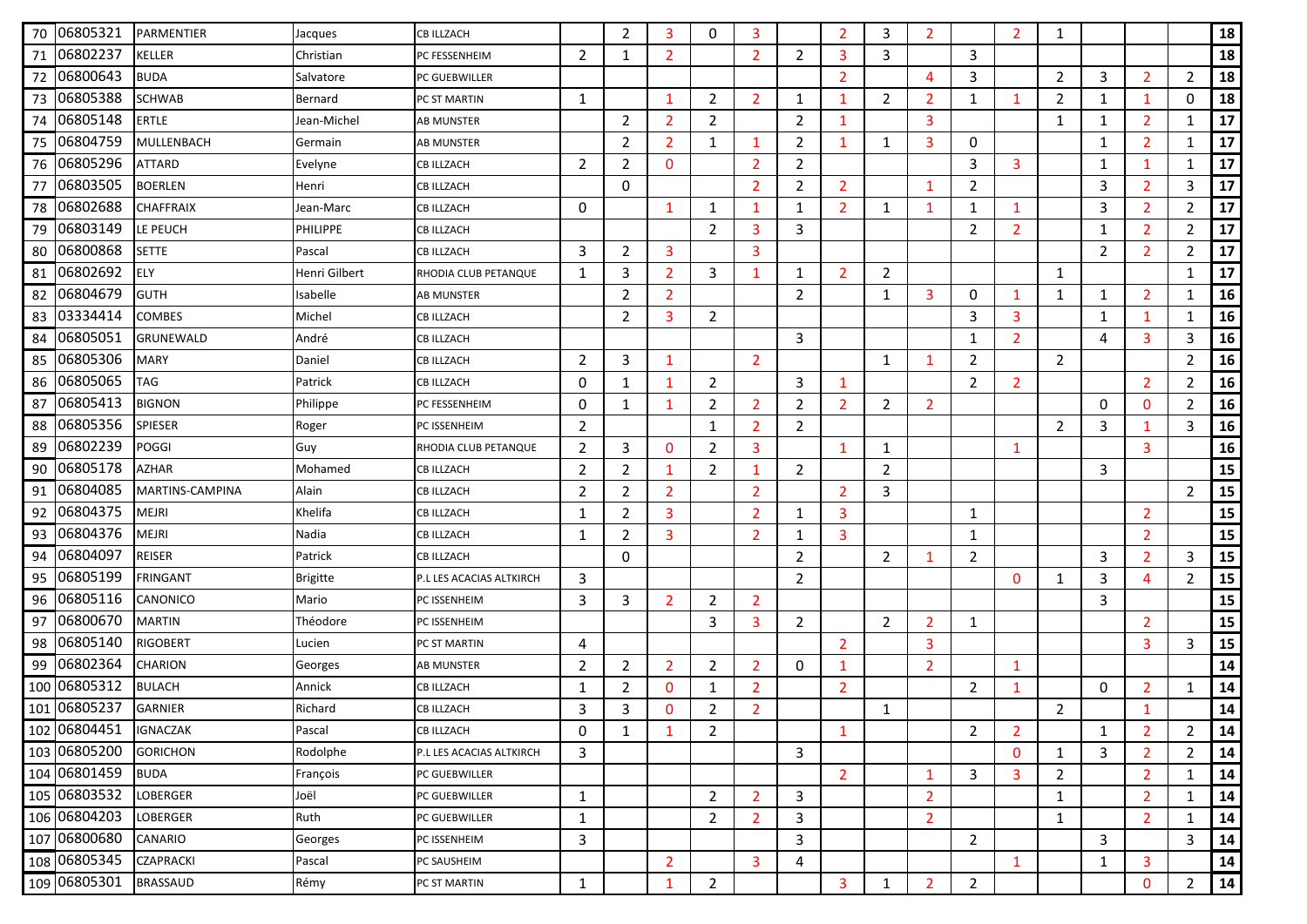| 70 | 06805321     | PARMENTIER       | Jacques         | <b>CB ILLZACH</b>        |                | 2              | 3              | 0              | 3              |                | 2              | 3              | 2              |                | 2              | 1              |                |                |                | 18 |
|----|--------------|------------------|-----------------|--------------------------|----------------|----------------|----------------|----------------|----------------|----------------|----------------|----------------|----------------|----------------|----------------|----------------|----------------|----------------|----------------|----|
| 71 | 06802237     | <b>KELLER</b>    | Christian       | PC FESSENHEIM            | $\overline{2}$ | $\mathbf{1}$   | $\overline{2}$ |                | $\overline{2}$ | $\overline{2}$ | 3              | 3              |                | 3              |                |                |                |                |                | 18 |
| 72 | 06800643     | <b>BUDA</b>      | Salvatore       | PC GUEBWILLER            |                |                |                |                |                |                | $\overline{2}$ |                | 4              | 3              |                | $\overline{2}$ | 3              | $\overline{2}$ | $\overline{2}$ | 18 |
| 73 | 06805388     | <b>SCHWAB</b>    | Bernard         | PC ST MARTIN             | 1              |                | 1              | $\overline{2}$ | $\overline{2}$ | 1              | 1              | $\overline{2}$ | $\overline{2}$ | 1              | $\mathbf 1$    | 2              | 1              | $\mathbf 1$    | 0              | 18 |
| 74 | 06805148     | <b>ERTLE</b>     | Jean-Michel     | AB MUNSTER               |                | $\overline{2}$ | $\overline{2}$ | $\overline{2}$ |                | 2              | 1              |                | 3              |                |                | 1              | 1              | $\overline{2}$ | 1              | 17 |
| 75 | 06804759     | MULLENBACH       | Germain         | AB MUNSTER               |                | 2              | 2              | $\mathbf{1}$   | -1             | 2              | $\mathbf{1}$   | 1              | 3              | 0              |                |                | 1              | $\overline{2}$ | 1              | 17 |
| 76 | 06805296     | <b>ATTARD</b>    | Evelyne         | <b>CB ILLZACH</b>        | $\overline{2}$ | $\overline{2}$ | $\mathbf 0$    |                | $\overline{2}$ | $\overline{2}$ |                |                |                | 3              | 3              |                | 1              | 1              | 1              | 17 |
| 77 | 06803505     | <b>BOERLEN</b>   | Henri           | CB ILLZACH               |                | 0              |                |                | $\overline{2}$ | 2              | $\overline{2}$ |                | 1              | $\overline{2}$ |                |                | 3              | $\overline{2}$ | 3              | 17 |
| 78 | 06802688     | <b>CHAFFRAIX</b> | Jean-Marc       | <b>CB ILLZACH</b>        | 0              |                | 1              | 1              | 1              | 1              | $\overline{2}$ | 1              | 1              | 1              | 1              |                | 3              | $\overline{2}$ | 2              | 17 |
| 79 | 06803149     | LE PEUCH         | <b>PHILIPPE</b> | <b>CB ILLZACH</b>        |                |                |                | $\overline{2}$ | 3              | 3              |                |                |                | $\overline{2}$ | $\overline{2}$ |                | 1              | $\overline{2}$ | $\overline{2}$ | 17 |
| 80 | 06800868     | <b>SETTE</b>     | Pascal          | CB ILLZACH               | 3              | 2              | 3              |                | 3              |                |                |                |                |                |                |                | $\overline{2}$ | $\overline{2}$ | $\overline{2}$ | 17 |
| 81 | 06802692     | <b>ELY</b>       | Henri Gilbert   | RHODIA CLUB PETANQUE     | 1              | 3              | 2              | 3              | $\mathbf 1$    | 1              | 2              | 2              |                |                |                | 1              |                |                | 1              | 17 |
| 82 | 06804679     | <b>GUTH</b>      | Isabelle        | <b>AB MUNSTER</b>        |                | $\overline{2}$ | $\overline{2}$ |                |                | 2              |                | $\mathbf{1}$   | 3              | 0              | 1              | 1              | 1              | $\overline{2}$ | 1              | 16 |
| 83 | 03334414     | <b>COMBES</b>    | Michel          | CB ILLZACH               |                | 2              | 3              | $\overline{2}$ |                |                |                |                |                | 3              | 3              |                | 1              | 1              | 1              | 16 |
| 84 | 06805051     | <b>GRUNEWALD</b> | André           | <b>CB ILLZACH</b>        |                |                |                |                |                | 3              |                |                |                | 1              | $\overline{2}$ |                | 4              | 3              | 3              | 16 |
| 85 | 06805306     | <b>MARY</b>      | Daniel          | <b>CB ILLZACH</b>        | $\overline{2}$ | 3              | 1              |                | $\overline{2}$ |                |                | 1              | -1             | $\overline{2}$ |                | $\overline{2}$ |                |                | $\overline{2}$ | 16 |
| 86 | 06805065     | TAG              | Patrick         | CB ILLZACH               | 0              | 1              | 1              | $\overline{2}$ |                | 3              | 1              |                |                | $\overline{2}$ | $\overline{2}$ |                |                | $\overline{2}$ | $\overline{2}$ | 16 |
| 87 | 06805413     | <b>BIGNON</b>    | Philippe        | PC FESSENHEIM            | 0              | $\mathbf{1}$   | 1              | $\overline{2}$ | $\overline{2}$ | 2              | $\overline{2}$ | $\overline{2}$ | $\overline{2}$ |                |                |                | 0              | $\mathbf{0}$   | 2              | 16 |
| 88 | 06805356     | <b>SPIESER</b>   | Roger           | PC ISSENHEIM             | $\overline{2}$ |                |                | 1              | 2              | 2              |                |                |                |                |                | 2              | 3              | 1              | 3              | 16 |
| 89 | 06802239     | <b>POGGI</b>     | Guy             | RHODIA CLUB PETANQUE     | $\overline{2}$ | 3              | 0              | 2              | 3              |                | 1              | 1              |                |                | 1              |                |                | 3              |                | 16 |
| 90 | 06805178     | <b>AZHAR</b>     | Mohamed         | <b>CB ILLZACH</b>        | $\overline{2}$ | 2              | 1              | $\overline{2}$ | 1              | $\overline{2}$ |                | $\overline{2}$ |                |                |                |                | 3              |                |                | 15 |
| 91 | 06804085     | MARTINS-CAMPINA  | Alain           | <b>CB ILLZACH</b>        | $\overline{2}$ | $\overline{2}$ | $\overline{2}$ |                | $\overline{2}$ |                | $\overline{2}$ | 3              |                |                |                |                |                |                | $\overline{2}$ | 15 |
|    | 92 06804375  | <b>MEJRI</b>     | Khelifa         | CB ILLZACH               | 1              | 2              | 3              |                | 2              | 1              | 3              |                |                | 1              |                |                |                | $\overline{2}$ |                | 15 |
| 93 | 06804376     | <b>MEJRI</b>     | Nadia           | <b>CB ILLZACH</b>        | 1              | 2              | 3              |                | $\overline{2}$ | 1              | 3              |                |                | $\mathbf{1}$   |                |                |                | $\overline{2}$ |                | 15 |
| 94 | 06804097     | <b>REISER</b>    | Patrick         | <b>CB ILLZACH</b>        |                | 0              |                |                |                | 2              |                | $\overline{2}$ | 1              | $\overline{2}$ |                |                | 3              | $\overline{2}$ | 3              | 15 |
| 95 | 06805199     | <b>FRINGANT</b>  | <b>Brigitte</b> | P.L LES ACACIAS ALTKIRCH | 3              |                |                |                |                | $\overline{2}$ |                |                |                |                | 0              | 1              | 3              | 4              | 2              | 15 |
| 96 | 06805116     | CANONICO         | Mario           | PC ISSENHEIM             | 3              | 3              | $\overline{2}$ | $\overline{2}$ | $\overline{2}$ |                |                |                |                |                |                |                | 3              |                |                | 15 |
| 97 | 06800670     | <b>MARTIN</b>    | Théodore        | PC ISSENHEIM             |                |                |                | 3              | 3              | 2              |                | $\overline{2}$ | 2              | 1              |                |                |                | $\overline{2}$ |                | 15 |
| 98 | 06805140     | <b>RIGOBERT</b>  | Lucien          | PC ST MARTIN             | 4              |                |                |                |                |                | $\overline{2}$ |                | 3              |                |                |                |                | 3              | 3              | 15 |
| 99 | 06802364     | <b>CHARION</b>   | Georges         | AB MUNSTER               | $\overline{2}$ | 2              | $\overline{2}$ | $\overline{2}$ | 2              | 0              | 1              |                | $\overline{2}$ |                | 1              |                |                |                |                | 14 |
|    | 100 06805312 | <b>BULACH</b>    | Annick          | <b>CB ILLZACH</b>        | 1              | $\overline{2}$ | 0              | 1              | $\overline{2}$ |                | $\overline{2}$ |                |                | $\overline{2}$ | 1              |                | 0              | $\overline{2}$ | 1              | 14 |
|    | 101 06805237 | <b>GARNIER</b>   | Richard         | <b>CB ILLZACH</b>        | 3              | 3              | $\Omega$       | 2              | $\overline{2}$ |                |                | 1              |                |                |                | 2              |                | -1             |                | 14 |
|    | 102 06804451 | <b>IGNACZAK</b>  | Pascal          | <b>CB ILLZACH</b>        | 0              | $\mathbf{1}$   | 1              | $\overline{2}$ |                |                | $\mathbf{1}$   |                |                | $\overline{2}$ | $\mathbf{2}$   |                | 1              | $\overline{2}$ | $\overline{2}$ | 14 |
|    | 103 06805200 | <b>GORICHON</b>  | Rodolphe        | P.L LES ACACIAS ALTKIRCH | 3              |                |                |                |                | 3              |                |                |                |                | $\mathbf{0}$   | $\mathbf{1}$   | 3              | $\overline{2}$ | $\overline{2}$ | 14 |
|    | 104 06801459 | <b>BUDA</b>      | François        | PC GUEBWILLER            |                |                |                |                |                |                | $\overline{2}$ |                | 1              | 3              | 3              | $\overline{2}$ |                | $\overline{2}$ | 1              | 14 |
|    | 105 06803532 | <b>LOBERGER</b>  | Joël            | PC GUEBWILLER            | 1              |                |                | $\overline{2}$ | $\overline{2}$ | 3              |                |                | $\overline{2}$ |                |                | 1              |                | $\overline{2}$ | $\mathbf{1}$   | 14 |
|    | 106 06804203 | <b>LOBERGER</b>  | Ruth            | PC GUEBWILLER            | 1              |                |                | $\overline{2}$ | $\overline{2}$ | 3              |                |                | $\overline{2}$ |                |                | $\mathbf{1}$   |                | $\overline{2}$ | $\mathbf{1}$   | 14 |
|    | 107 06800680 | CANARIO          | Georges         | PC ISSENHEIM             | 3              |                |                |                |                | 3              |                |                |                | $\overline{2}$ |                |                | 3              |                | 3              | 14 |
|    | 108 06805345 | <b>CZAPRACKI</b> | Pascal          | PC SAUSHEIM              |                |                | $\overline{2}$ |                | 3              | 4              |                |                |                |                | $\mathbf 1$    |                | 1              | 3              |                | 14 |
|    | 109 06805301 | <b>BRASSAUD</b>  | Rémy            | PC ST MARTIN             | $\mathbf{1}$   |                | 1              | $\overline{2}$ |                |                | 3              | $\mathbf{1}$   | $\overline{2}$ | $\overline{2}$ |                |                |                | $\mathbf 0$    | $\overline{2}$ | 14 |
|    |              |                  |                 |                          |                |                |                |                |                |                |                |                |                |                |                |                |                |                |                |    |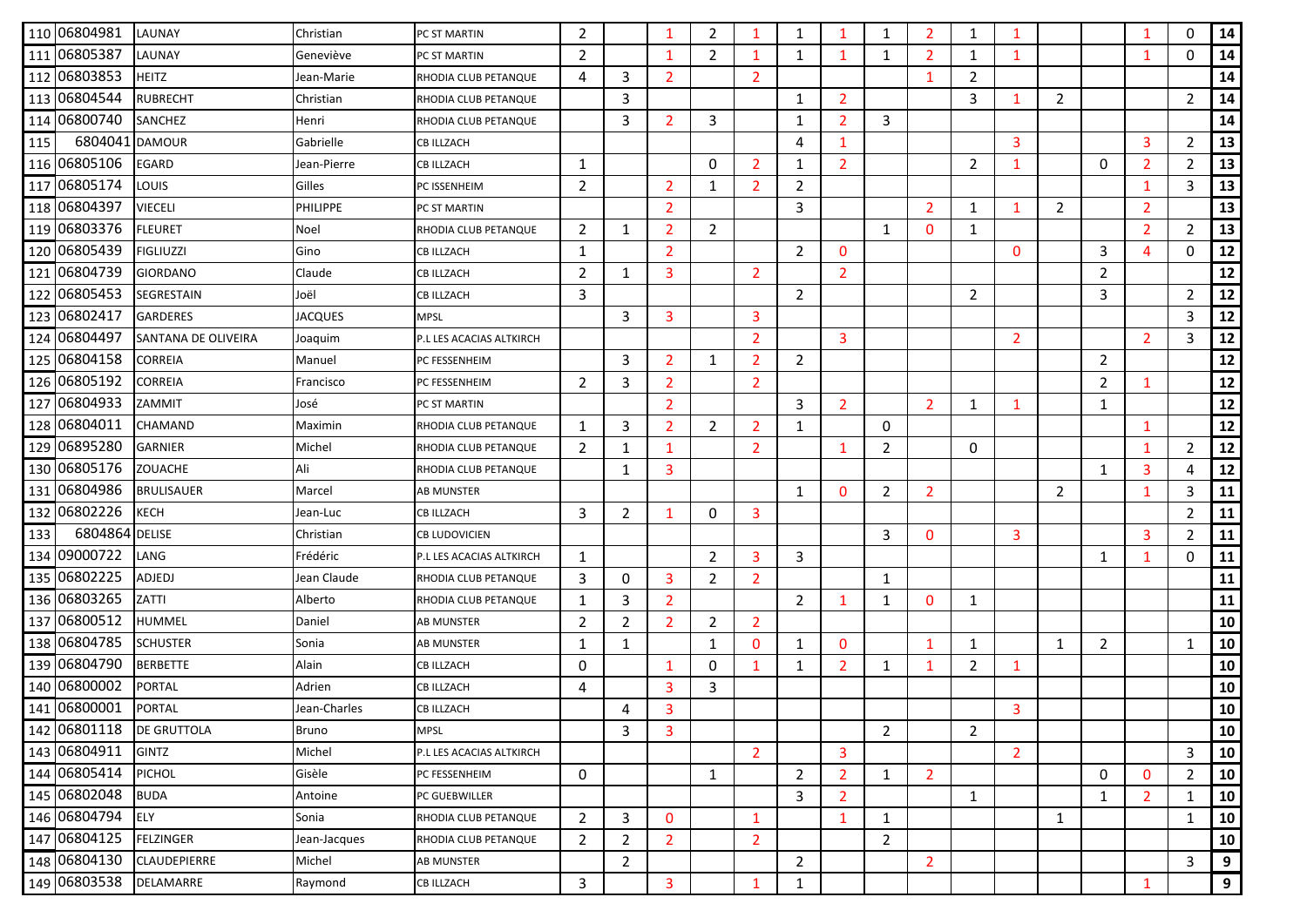|     | 110 06804981   | LAUNAY              | Christian       | PC ST MARTIN             | $\overline{2}$ |                | -1             | 2              |                | 1              | 1              | 1              | 2              | 1              |                |                |                |                | $\Omega$       | 14 |
|-----|----------------|---------------------|-----------------|--------------------------|----------------|----------------|----------------|----------------|----------------|----------------|----------------|----------------|----------------|----------------|----------------|----------------|----------------|----------------|----------------|----|
|     | 111 06805387   | LAUNAY              | Geneviève       | PC ST MARTIN             | $\overline{2}$ |                | $\mathbf{1}$   | $\overline{2}$ | 1              | 1              | 1              | $\mathbf{1}$   | $\overline{2}$ | $\mathbf{1}$   | $\mathbf{1}$   |                |                | 1              | $\Omega$       | 14 |
|     | 112 06803853   | <b>HEITZ</b>        | Jean-Marie      | RHODIA CLUB PETANQUE     | 4              | 3              | 2              |                | $\overline{2}$ |                |                |                | $\mathbf 1$    | $\overline{2}$ |                |                |                |                |                | 14 |
|     | 113 06804544   | <b>RUBRECHT</b>     | Christian       | RHODIA CLUB PETANQUE     |                | 3              |                |                |                | 1              | $\overline{2}$ |                |                | 3              | 1              | 2              |                |                | $\overline{2}$ | 14 |
|     | 114 06800740   | SANCHEZ             | Henri           | RHODIA CLUB PETANQUE     |                | 3              | 2              | 3              |                | 1              | $\overline{2}$ | 3              |                |                |                |                |                |                |                | 14 |
| 115 | 6804041        | <b>DAMOUR</b>       | Gabrielle       | <b>CB ILLZACH</b>        |                |                |                |                |                | 4              | $\mathbf{1}$   |                |                |                | 3              |                |                | 3              | 2              | 13 |
|     | 116 06805106   | <b>EGARD</b>        | Jean-Pierre     | <b>CB ILLZACH</b>        | 1              |                |                | 0              | $\overline{2}$ | 1              | $\overline{2}$ |                |                | $\overline{2}$ | 1              |                | 0              | $\overline{2}$ | 2              | 13 |
|     | 117 06805174   | <b>LOUIS</b>        | Gilles          | PC ISSENHEIM             | $\overline{2}$ |                | 2              | $\mathbf{1}$   | $\overline{2}$ | 2              |                |                |                |                |                |                |                | 1              | 3              | 13 |
|     | 118 06804397   | <b>VIECELI</b>      | <b>PHILIPPE</b> | PC ST MARTIN             |                |                | 2              |                |                | 3              |                |                | 2              | 1              | 1              | 2              |                | $\overline{2}$ |                | 13 |
|     | 119 06803376   | <b>FLEURET</b>      | Noel            | RHODIA CLUB PETANQUE     | $\overline{2}$ | 1              | 2              | $\overline{2}$ |                |                |                | $\mathbf{1}$   | $\mathbf{0}$   | 1              |                |                |                | $\overline{2}$ | 2              | 13 |
|     | 120 06805439   | <b>FIGLIUZZI</b>    | Gino            | <b>CB ILLZACH</b>        | 1              |                | $\overline{2}$ |                |                | $\overline{2}$ | $\mathbf{0}$   |                |                |                | $\mathbf{0}$   |                | 3              | 4              | $\Omega$       | 12 |
|     | 121 06804739   | <b>GIORDANO</b>     | Claude          | <b>CB ILLZACH</b>        | $\overline{2}$ | 1              | 3              |                | $\overline{2}$ |                | $\overline{2}$ |                |                |                |                |                | $\overline{2}$ |                |                | 12 |
|     | 122 06805453   | SEGRESTAIN          | Joël            | <b>CB ILLZACH</b>        | 3              |                |                |                |                | $\overline{2}$ |                |                |                | $\overline{2}$ |                |                | 3              |                | $\overline{2}$ | 12 |
|     | 123 06802417   | <b>GARDERES</b>     | <b>JACQUES</b>  | <b>MPSL</b>              |                | 3              | 3              |                | 3              |                |                |                |                |                |                |                |                |                | 3              | 12 |
|     | 124 06804497   | SANTANA DE OLIVEIRA | Joaquim         | P.L LES ACACIAS ALTKIRCH |                |                |                |                | $\overline{2}$ |                | 3              |                |                |                | $\overline{2}$ |                |                | $\overline{2}$ | 3              | 12 |
|     | 125 06804158   | <b>CORREIA</b>      | Manuel          | PC FESSENHEIM            |                | 3              | 2              | 1              | $\overline{2}$ | $\overline{2}$ |                |                |                |                |                |                | $\overline{2}$ |                |                | 12 |
|     | 126 06805192   | <b>CORREIA</b>      | Francisco       | PC FESSENHEIM            | $\overline{2}$ | 3              | 2              |                | 2              |                |                |                |                |                |                |                | $\overline{2}$ | 1              |                | 12 |
|     | 127 06804933   | ZAMMIT              | José            | PC ST MARTIN             |                |                | 2              |                |                | 3              | $\overline{2}$ |                | 2              | $\mathbf{1}$   | 1              |                | $\mathbf{1}$   |                |                | 12 |
|     | 128 06804011   | CHAMAND             | Maximin         | RHODIA CLUB PETANQUE     | 1              | 3              | 2              | $\overline{2}$ | $\overline{2}$ | 1              |                | 0              |                |                |                |                |                | 1              |                | 12 |
|     | 129 06895280   | <b>GARNIER</b>      | Michel          | RHODIA CLUB PETANQUE     | 2              | 1              | -1             |                | 2              |                | $\mathbf{1}$   | 2              |                | 0              |                |                |                | 1              | $\overline{2}$ | 12 |
|     | 130 06805176   | <b>ZOUACHE</b>      | Ali             | RHODIA CLUB PETANQUE     |                | 1              | 3              |                |                |                |                |                |                |                |                |                | 1              | 3              | $\overline{4}$ | 12 |
|     | 131 06804986   | <b>BRULISAUER</b>   | Marcel          | <b>AB MUNSTER</b>        |                |                |                |                |                | 1              | $\mathbf{0}$   | $\overline{2}$ | 2              |                |                | $\overline{2}$ |                | 1              | 3              | 11 |
|     | 132 06802226   | <b>KECH</b>         | Jean-Luc        | CB ILLZACH               | 3              | 2              | -1             | 0              | 3              |                |                |                |                |                |                |                |                |                | 2              | 11 |
| 133 | 6804864 DELISE |                     | Christian       | <b>CB LUDOVICIEN</b>     |                |                |                |                |                |                |                | 3              | $\Omega$       |                | 3              |                |                | 3              | $\overline{2}$ | 11 |
|     | 134 09000722   | LANG                | Frédéric        | P.L LES ACACIAS ALTKIRCH | 1              |                |                | $\overline{2}$ | 3              | 3              |                |                |                |                |                |                | 1              | 1              | 0              | 11 |
|     | 135 06802225   | ADJEDJ              | Jean Claude     | RHODIA CLUB PETANQUE     | 3              | 0              | 3              | 2              | $\overline{2}$ |                |                | 1              |                |                |                |                |                |                |                | 11 |
|     | 136 06803265   | ZATTI               | Alberto         | RHODIA CLUB PETANQUE     | $\mathbf{1}$   | 3              | $\overline{2}$ |                |                | 2              | 1              | 1              | $\Omega$       | 1              |                |                |                |                |                | 11 |
|     | 137 06800512   | HUMMEL              | Daniel          | <b>AB MUNSTER</b>        | $\overline{2}$ | $\overline{2}$ | 2              | $\overline{2}$ | $\overline{2}$ |                |                |                |                |                |                |                |                |                |                | 10 |
|     | 138 06804785   | <b>SCHUSTER</b>     | Sonia           | AB MUNSTER               | $\mathbf{1}$   | 1              |                | $\mathbf{1}$   | $\mathbf{0}$   | 1              | 0              |                | -1             | $\mathbf{1}$   |                | 1              | $\overline{2}$ |                | 1              | 10 |
|     | 139 06804790   | <b>BERBETTE</b>     | Alain           | <b>CB ILLZACH</b>        | 0              |                | -1             | 0              | 1              | 1              | $\overline{2}$ | 1              | -1             | $\overline{2}$ | 1              |                |                |                |                | 10 |
|     | 140 06800002   | PORTAL              | Adrien          | <b>CB ILLZACH</b>        | 4              |                | 3              | 3              |                |                |                |                |                |                |                |                |                |                |                | 10 |
|     | 141 06800001   | <b>PORTAL</b>       | Jean-Charles    | <b>CB ILLZACH</b>        |                | 4              | 3              |                |                |                |                |                |                |                | 3              |                |                |                |                | 10 |
|     | 142 06801118   | <b>DE GRUTTOLA</b>  | <b>Bruno</b>    | <b>MPSL</b>              |                | 3              | 3              |                |                |                |                | $\overline{2}$ |                | $\overline{2}$ |                |                |                |                |                | 10 |
|     | 143 06804911   | <b>GINTZ</b>        | Michel          | P.L LES ACACIAS ALTKIRCH |                |                |                |                | $\overline{2}$ |                | 3              |                |                |                | $\overline{2}$ |                |                |                | 3              | 10 |
|     | 144 06805414   | <b>PICHOL</b>       | Gisèle          | PC FESSENHEIM            | 0              |                |                | $\mathbf{1}$   |                | $\overline{2}$ | $\overline{2}$ | $\mathbf{1}$   | $\overline{2}$ |                |                |                | 0              | $\mathbf{0}$   | $\overline{2}$ | 10 |
|     | 145 06802048   | <b>BUDA</b>         | Antoine         | PC GUEBWILLER            |                |                |                |                |                | 3              | $\overline{2}$ |                |                | $\mathbf{1}$   |                |                | 1              | $\overline{2}$ | 1              | 10 |
|     | 146 06804794   | <b>ELY</b>          | Sonia           | RHODIA CLUB PETANQUE     | $\overline{2}$ | 3              | $\mathbf{0}$   |                | $\mathbf{1}$   |                | $\mathbf{1}$   | 1              |                |                |                | 1              |                |                | 1              | 10 |
|     | 147 06804125   | <b>FELZINGER</b>    | Jean-Jacques    | RHODIA CLUB PETANQUE     | $\overline{2}$ | $\overline{2}$ | $\overline{2}$ |                | $\overline{2}$ |                |                | $\overline{2}$ |                |                |                |                |                |                |                | 10 |
|     | 148 06804130   | CLAUDEPIERRE        | Michel          | <b>AB MUNSTER</b>        |                | $\overline{2}$ |                |                |                | $\overline{2}$ |                |                | $\overline{2}$ |                |                |                |                |                | 3              | 9  |
|     | 149 06803538   | DELAMARRE           | Raymond         | <b>CB ILLZACH</b>        | 3              |                | 3              |                | 1              | 1              |                |                |                |                |                |                |                | 1              |                | 9  |
|     |                |                     |                 |                          |                |                |                |                |                |                |                |                |                |                |                |                |                |                |                |    |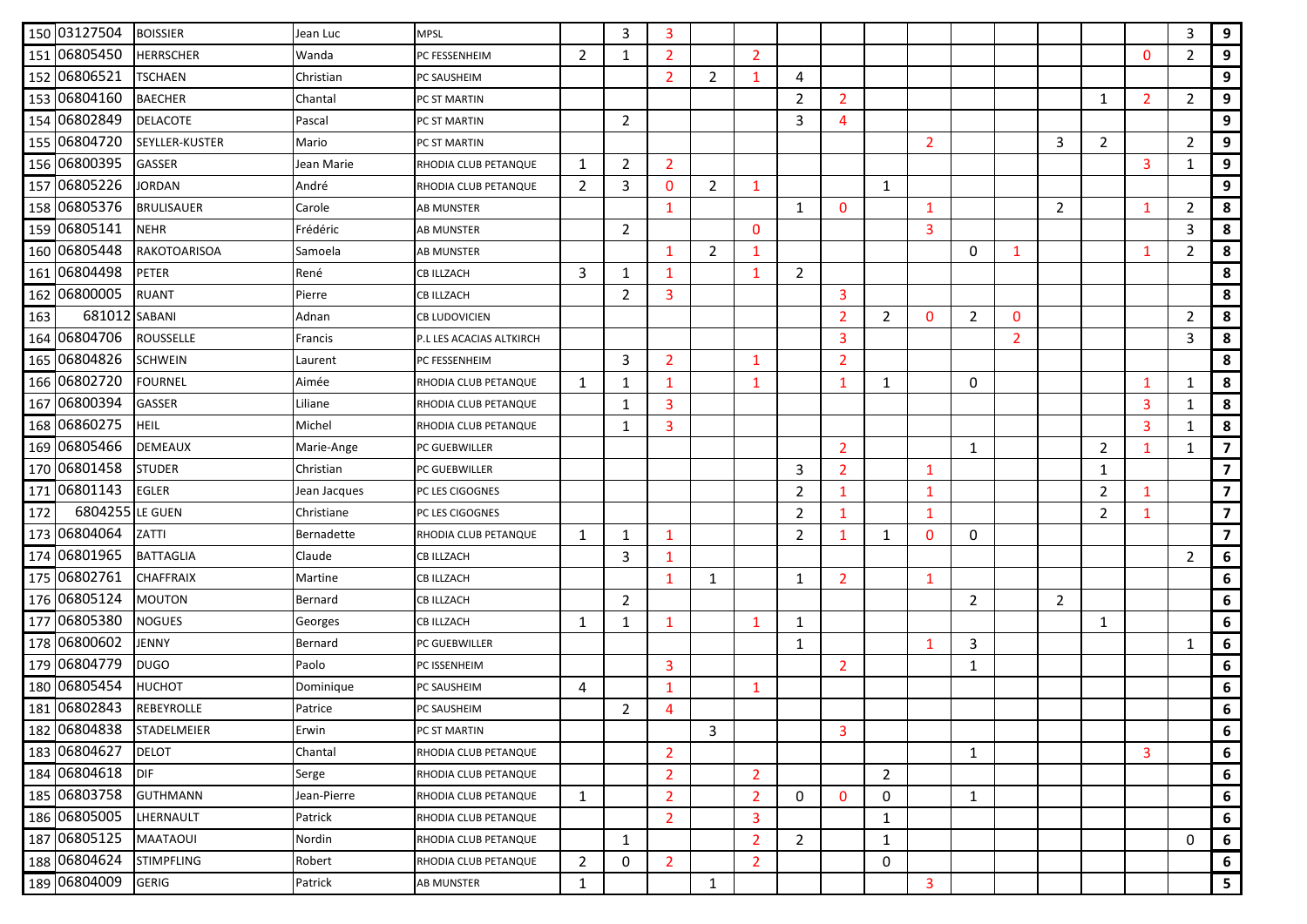|     | 150 03127504  | <b>BOISSIER</b>   | Jean Luc     | <b>MPSL</b>              |                | 3              | 3              |                |                |                |                |                |                |                |                |                |                |                | 3              | 9                       |
|-----|---------------|-------------------|--------------|--------------------------|----------------|----------------|----------------|----------------|----------------|----------------|----------------|----------------|----------------|----------------|----------------|----------------|----------------|----------------|----------------|-------------------------|
|     | 151 06805450  | <b>HERRSCHER</b>  | Wanda        | PC FESSENHEIM            | $\overline{2}$ | $\mathbf{1}$   | $\overline{2}$ |                | $\overline{2}$ |                |                |                |                |                |                |                |                | $\mathbf{0}$   | $\overline{2}$ | 9                       |
|     | 152 06806521  | <b>TSCHAEN</b>    | Christian    | PC SAUSHEIM              |                |                | $\overline{2}$ | 2              | 1              | 4              |                |                |                |                |                |                |                |                |                | 9                       |
|     | 153 06804160  | <b>BAECHER</b>    | Chantal      | PC ST MARTIN             |                |                |                |                |                | 2              | $\overline{2}$ |                |                |                |                |                | 1              | $\overline{2}$ | $\overline{2}$ | 9                       |
|     | 154 06802849  | <b>DELACOTE</b>   | Pascal       | PC ST MARTIN             |                | $\overline{2}$ |                |                |                | 3              | 4              |                |                |                |                |                |                |                |                | 9                       |
|     | 155 06804720  | SEYLLER-KUSTER    | Mario        | PC ST MARTIN             |                |                |                |                |                |                |                |                | $\overline{2}$ |                |                | 3              | $\overline{2}$ |                | 2              | 9                       |
|     | 156 06800395  | GASSER            | Jean Marie   | RHODIA CLUB PETANQUE     | 1              | $\overline{2}$ | $\overline{2}$ |                |                |                |                |                |                |                |                |                |                | 3              | $\mathbf{1}$   | 9                       |
|     | 157 06805226  | <b>JORDAN</b>     | André        | RHODIA CLUB PETANQUE     | 2              | 3              | 0              | $\overline{2}$ | 1              |                |                | 1              |                |                |                |                |                |                |                | 9                       |
|     | 158 06805376  | <b>BRULISAUER</b> | Carole       | <b>AB MUNSTER</b>        |                |                | 1              |                |                | 1              | $\mathbf{0}$   |                | 1              |                |                | 2              |                | $\mathbf{1}$   | $\overline{2}$ | 8                       |
|     | 159 06805141  | <b>NEHR</b>       | Frédéric     | <b>AB MUNSTER</b>        |                | $\overline{2}$ |                |                | $\mathbf{0}$   |                |                |                | 3              |                |                |                |                |                | 3              | 8                       |
|     | 160 06805448  | RAKOTOARISOA      | Samoela      | AB MUNSTER               |                |                | 1              | $\overline{2}$ | 1              |                |                |                |                | 0              | -1             |                |                | 1              | $\overline{2}$ | 8                       |
|     | 161 06804498  | <b>PETER</b>      | René         | <b>CB ILLZACH</b>        | 3              | 1              | $\mathbf{1}$   |                | $\mathbf{1}$   | $\overline{2}$ |                |                |                |                |                |                |                |                |                | 8                       |
|     | 162 06800005  | <b>RUANT</b>      | Pierre       | <b>CB ILLZACH</b>        |                | $\overline{2}$ | 3              |                |                |                | 3              |                |                |                |                |                |                |                |                | 8                       |
| 163 | 681012 SABANI |                   | Adnan        | CB LUDOVICIEN            |                |                |                |                |                |                | $\overline{2}$ | 2              | $\mathbf 0$    | $\overline{2}$ | $\mathbf 0$    |                |                |                | 2              | 8                       |
|     | 164 06804706  | <b>ROUSSELLE</b>  | Francis      | P.L LES ACACIAS ALTKIRCH |                |                |                |                |                |                | 3              |                |                |                | $\overline{2}$ |                |                |                | 3              | 8                       |
|     | 165 06804826  | <b>SCHWEIN</b>    | Laurent      | PC FESSENHEIM            |                | 3              | $\overline{2}$ |                | $\mathbf 1$    |                | $\overline{2}$ |                |                |                |                |                |                |                |                | 8                       |
|     | 166 06802720  | <b>FOURNEL</b>    | Aimée        | RHODIA CLUB PETANQUE     | 1              | 1              | 1              |                | $\mathbf 1$    |                | 1              | 1              |                | 0              |                |                |                | $\mathbf 1$    | 1              | 8                       |
|     | 167 06800394  | <b>GASSER</b>     | Liliane      | RHODIA CLUB PETANQUE     |                | 1              | 3              |                |                |                |                |                |                |                |                |                |                | 3              | 1              | 8                       |
|     | 168 06860275  | <b>HEIL</b>       | Michel       | RHODIA CLUB PETANQUE     |                | 1              | 3              |                |                |                |                |                |                |                |                |                |                | 3              | 1              | 8                       |
|     | 169 06805466  | <b>DEMEAUX</b>    | Marie-Ange   | PC GUEBWILLER            |                |                |                |                |                |                | $\overline{2}$ |                |                | 1              |                |                | $\overline{2}$ | 1              | 1              | $\overline{\mathbf{z}}$ |
|     | 170 06801458  | <b>STUDER</b>     | Christian    | PC GUEBWILLER            |                |                |                |                |                | 3              | $\overline{2}$ |                | $\mathbf 1$    |                |                |                | 1              |                |                | $\overline{\mathbf{z}}$ |
|     | 171 06801143  | <b>EGLER</b>      | Jean Jacques | PC LES CIGOGNES          |                |                |                |                |                | $\overline{2}$ | $\mathbf{1}$   |                | -1             |                |                |                | $\overline{2}$ | -1             |                | $\overline{\mathbf{z}}$ |
| 172 | 6804255       | LE GUEN           | Christiane   | PC LES CIGOGNES          |                |                |                |                |                | $\overline{2}$ | $\mathbf{1}$   |                | 1              |                |                |                | $\overline{2}$ | 1              |                | $\overline{\mathbf{z}}$ |
|     | 173 06804064  | ZATTI             | Bernadette   | RHODIA CLUB PETANQUE     | $\mathbf{1}$   | $\mathbf{1}$   | 1              |                |                | 2              | $\mathbf{1}$   | 1              | $\Omega$       | 0              |                |                |                |                |                | $\overline{\mathbf{z}}$ |
|     | 174 06801965  | <b>BATTAGLIA</b>  | Claude       | <b>CB ILLZACH</b>        |                | 3              | 1              |                |                |                |                |                |                |                |                |                |                |                | $\overline{2}$ | 6                       |
|     | 175 06802761  | <b>CHAFFRAIX</b>  | Martine      | <b>CB ILLZACH</b>        |                |                | $\mathbf 1$    | $\mathbf{1}$   |                | 1              | $\overline{2}$ |                | $\mathbf{1}$   |                |                |                |                |                |                | 6                       |
|     | 176 06805124  | <b>MOUTON</b>     | Bernard      | <b>CB ILLZACH</b>        |                | $\overline{2}$ |                |                |                |                |                |                |                | $\overline{2}$ |                | $\overline{2}$ |                |                |                | 6                       |
|     | 177 06805380  | <b>NOGUES</b>     | Georges      | <b>CB ILLZACH</b>        | $\mathbf{1}$   | 1              | 1              |                | $\mathbf{1}$   | 1              |                |                |                |                |                |                | 1              |                |                | 6                       |
|     | 178 06800602  | JENNY             | Bernard      | PC GUEBWILLER            |                |                |                |                |                | 1              |                |                | -1             | 3              |                |                |                |                | 1              | 6                       |
|     | 179 06804779  | <b>DUGO</b>       | Paolo        | PC ISSENHEIM             |                |                | 3              |                |                |                | $\overline{2}$ |                |                | 1              |                |                |                |                |                | 6                       |
|     | 180 06805454  | <b>HUCHOT</b>     | Dominique    | PC SAUSHEIM              | 4              |                | 1              |                | $\mathbf{1}$   |                |                |                |                |                |                |                |                |                |                | 6                       |
|     | 181 06802843  | <b>REBEYROLLE</b> | Patrice      | PC SAUSHEIM              |                | 2              | $\overline{4}$ |                |                |                |                |                |                |                |                |                |                |                |                | 6                       |
|     | 182 06804838  | STADELMEIER       | Erwin        | PC ST MARTIN             |                |                |                | 3              |                |                | 3              |                |                |                |                |                |                |                |                | 6                       |
|     | 183 06804627  | <b>DELOT</b>      | Chantal      | RHODIA CLUB PETANQUE     |                |                | $\overline{2}$ |                |                |                |                |                |                | $\mathbf{1}$   |                |                |                | $\overline{3}$ |                | 6                       |
|     | 184 06804618  | <b>DIF</b>        | Serge        | RHODIA CLUB PETANQUE     |                |                | $\overline{2}$ |                | $\overline{2}$ |                |                | $\overline{2}$ |                |                |                |                |                |                |                | 6                       |
|     | 185 06803758  | <b>GUTHMANN</b>   | Jean-Pierre  | RHODIA CLUB PETANQUE     | $\mathbf{1}$   |                | $\overline{2}$ |                | $\overline{2}$ | 0              | $\mathbf{0}$   | 0              |                | 1              |                |                |                |                |                | 6                       |
|     | 186 06805005  | LHERNAULT         | Patrick      | RHODIA CLUB PETANQUE     |                |                | $\overline{2}$ |                | 3              |                |                | $\mathbf{1}$   |                |                |                |                |                |                |                | 6                       |
|     | 187 06805125  | <b>MAATAOUI</b>   | Nordin       | RHODIA CLUB PETANQUE     |                | 1              |                |                | $\overline{2}$ | 2              |                | 1              |                |                |                |                |                |                | $\Omega$       | 6                       |
|     | 188 06804624  | <b>STIMPFLING</b> | Robert       | RHODIA CLUB PETANQUE     | $\overline{2}$ | 0              | $\overline{2}$ |                | $\overline{2}$ |                |                | 0              |                |                |                |                |                |                |                | 6                       |
|     | 189 06804009  | <b>GERIG</b>      | Patrick      | AB MUNSTER               | 1              |                |                | $\mathbf{1}$   |                |                |                |                | 3              |                |                |                |                |                |                | 5 <sub>1</sub>          |
|     |               |                   |              |                          |                |                |                |                |                |                |                |                |                |                |                |                |                |                |                |                         |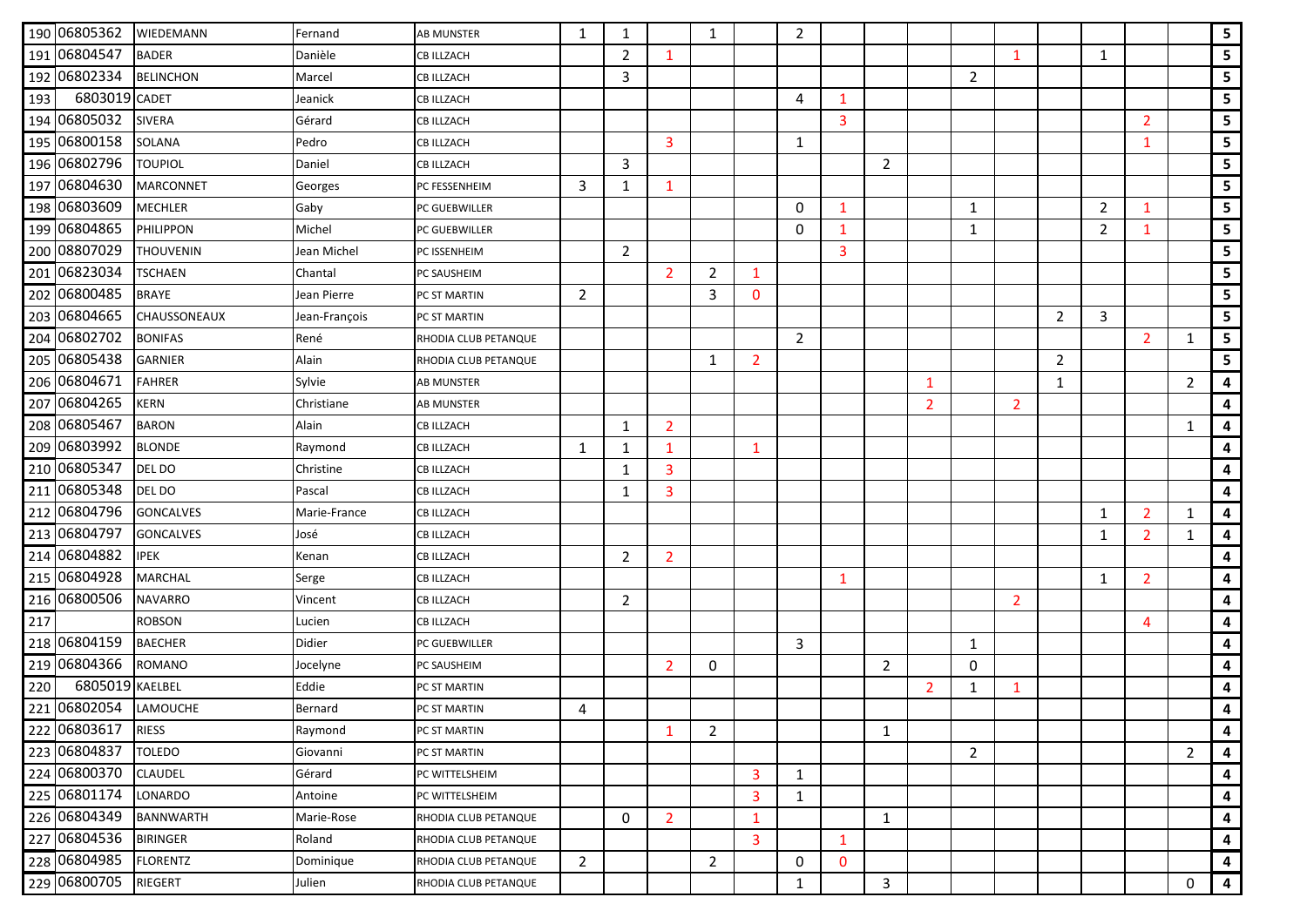|     | 190 06805362    | WIEDEMANN           | Fernand       | <b>AB MUNSTER</b>    | 1              | 1              |                | $\mathbf{1}$   |                | $\overline{2}$ |              |                |                |                |                |                |                |                |                | 5 <sub>5</sub>          |
|-----|-----------------|---------------------|---------------|----------------------|----------------|----------------|----------------|----------------|----------------|----------------|--------------|----------------|----------------|----------------|----------------|----------------|----------------|----------------|----------------|-------------------------|
|     | 191 06804547    | <b>BADER</b>        | Danièle       | <b>CB ILLZACH</b>    |                | $\overline{2}$ | $\mathbf{1}$   |                |                |                |              |                |                |                | 1              |                | 1              |                |                | 5                       |
|     | 192 06802334    | <b>BELINCHON</b>    | Marcel        | <b>CB ILLZACH</b>    |                | 3              |                |                |                |                |              |                |                | $\overline{2}$ |                |                |                |                |                | 5 <sub>1</sub>          |
| 193 | 6803019 CADET   |                     | Jeanick       | <b>CB ILLZACH</b>    |                |                |                |                |                | $\overline{4}$ | 1            |                |                |                |                |                |                |                |                | $5\phantom{.0}$         |
|     | 194 06805032    | <b>SIVERA</b>       | Gérard        | <b>CB ILLZACH</b>    |                |                |                |                |                |                | 3            |                |                |                |                |                |                | $\overline{2}$ |                | $5\phantom{a}$          |
|     | 195 06800158    | <b>SOLANA</b>       | Pedro         | CB ILLZACH           |                |                | 3              |                |                | 1              |              |                |                |                |                |                |                | $\mathbf{1}$   |                | 5 <sub>1</sub>          |
|     | 196 06802796    | <b>TOUPIOL</b>      | Daniel        | <b>CB ILLZACH</b>    |                | 3              |                |                |                |                |              | $\overline{2}$ |                |                |                |                |                |                |                | $5\overline{)}$         |
|     | 197 06804630    | <b>MARCONNET</b>    | Georges       | PC FESSENHEIM        | 3              | 1              | 1              |                |                |                |              |                |                |                |                |                |                |                |                | 5 <sub>1</sub>          |
|     | 198 06803609    | <b>MECHLER</b>      | Gaby          | PC GUEBWILLER        |                |                |                |                |                | 0              | $\mathbf{1}$ |                |                | 1              |                |                | $\overline{2}$ | 1              |                | $5\phantom{a}$          |
|     | 199 06804865    | <b>PHILIPPON</b>    | Michel        | PC GUEBWILLER        |                |                |                |                |                | $\mathbf{0}$   | 1            |                |                | 1              |                |                | $\overline{2}$ | 1              |                | 5 <sub>1</sub>          |
|     | 200 08807029    | <b>THOUVENIN</b>    | Jean Michel   | PC ISSENHEIM         |                | $\overline{2}$ |                |                |                |                | 3            |                |                |                |                |                |                |                |                | 5                       |
|     | 201 06823034    | <b>TSCHAEN</b>      | Chantal       | PC SAUSHEIM          |                |                | $\overline{2}$ | $\overline{2}$ | 1              |                |              |                |                |                |                |                |                |                |                | $5\phantom{a}$          |
|     | 202 06800485    | <b>BRAYE</b>        | Jean Pierre   | PC ST MARTIN         | $\overline{2}$ |                |                | 3              | $\mathbf{0}$   |                |              |                |                |                |                |                |                |                |                | $5\phantom{.0}$         |
|     | 203 06804665    | <b>CHAUSSONEAUX</b> | Jean-François | PC ST MARTIN         |                |                |                |                |                |                |              |                |                |                |                | $\overline{2}$ | 3              |                |                | $5\phantom{.0}$         |
|     | 204 06802702    | <b>BONIFAS</b>      | René          | RHODIA CLUB PETANQUE |                |                |                |                |                | $\overline{2}$ |              |                |                |                |                |                |                | $\overline{2}$ | 1              | 5                       |
|     | 205 06805438    | <b>GARNIER</b>      | Alain         | RHODIA CLUB PETANQUE |                |                |                | $\mathbf{1}$   | $\overline{2}$ |                |              |                |                |                |                | $\overline{2}$ |                |                |                | 5 <sub>1</sub>          |
|     | 206 06804671    | <b>FAHRER</b>       | Sylvie        | <b>AB MUNSTER</b>    |                |                |                |                |                |                |              |                | $\mathbf{1}$   |                |                | 1              |                |                | $\overline{2}$ | $\overline{\mathbf{4}}$ |
|     | 207 06804265    | KERN                | Christiane    | AB MUNSTER           |                |                |                |                |                |                |              |                | $\overline{2}$ |                | $\overline{2}$ |                |                |                |                | 4                       |
|     | 208 06805467    | <b>BARON</b>        | Alain         | <b>CB ILLZACH</b>    |                | 1              | $\overline{2}$ |                |                |                |              |                |                |                |                |                |                |                | 1              | 4                       |
|     | 209 06803992    | <b>BLONDE</b>       | Raymond       | <b>CB ILLZACH</b>    | 1              | 1              | 1              |                | $\mathbf{1}$   |                |              |                |                |                |                |                |                |                |                | 4                       |
|     | 210 06805347    | DEL DO              | Christine     | <b>CB ILLZACH</b>    |                | 1              | $\overline{3}$ |                |                |                |              |                |                |                |                |                |                |                |                | 4                       |
|     | 211 06805348    | DEL DO              | Pascal        | <b>CB ILLZACH</b>    |                | $\mathbf{1}$   | 3              |                |                |                |              |                |                |                |                |                |                |                |                | 4                       |
|     | 212 06804796    | <b>GONCALVES</b>    | Marie-France  | CB ILLZACH           |                |                |                |                |                |                |              |                |                |                |                |                | $\mathbf{1}$   | $\overline{2}$ | 1              | $\overline{\mathbf{4}}$ |
|     | 213 06804797    | <b>GONCALVES</b>    | José          | CB ILLZACH           |                |                |                |                |                |                |              |                |                |                |                |                | 1              | $\overline{2}$ | 1              | 4                       |
|     | 214 06804882    | <b>IPEK</b>         | Kenan         | <b>CB ILLZACH</b>    |                | $\overline{2}$ | $\overline{2}$ |                |                |                |              |                |                |                |                |                |                |                |                | 4                       |
|     | 215 06804928    | <b>MARCHAL</b>      | Serge         | CB ILLZACH           |                |                |                |                |                |                | 1            |                |                |                |                |                | $\mathbf{1}$   | $\overline{2}$ |                | 4                       |
|     | 216 06800506    | <b>NAVARRO</b>      | Vincent       | <b>CB ILLZACH</b>    |                | $\overline{2}$ |                |                |                |                |              |                |                |                | $\overline{2}$ |                |                |                |                | 4                       |
| 217 |                 | <b>ROBSON</b>       | Lucien        | <b>CB ILLZACH</b>    |                |                |                |                |                |                |              |                |                |                |                |                |                | 4              |                | 4                       |
|     | 218 06804159    | <b>BAECHER</b>      | Didier        | PC GUEBWILLER        |                |                |                |                |                | 3              |              |                |                | 1              |                |                |                |                |                | 4                       |
|     | 219 06804366    | <b>ROMANO</b>       | Jocelyne      | PC SAUSHEIM          |                |                | $\overline{2}$ | 0              |                |                |              | $\overline{2}$ |                | 0              |                |                |                |                |                | 4                       |
| 220 | 6805019 KAELBEL |                     | Eddie         | PC ST MARTIN         |                |                |                |                |                |                |              |                | $\overline{2}$ | 1              | $\mathbf 1$    |                |                |                |                | 4                       |
|     | 221 06802054    | LAMOUCHE            | Bernard       | PC ST MARTIN         | 4              |                |                |                |                |                |              |                |                |                |                |                |                |                |                | 4                       |
|     | 222 06803617    | <b>RIESS</b>        | Raymond       | PC ST MARTIN         |                |                | 1              | $\overline{2}$ |                |                |              | $\mathbf{1}$   |                |                |                |                |                |                |                | 4                       |
|     | 223 06804837    | <b>TOLEDO</b>       | Giovanni      | PC ST MARTIN         |                |                |                |                |                |                |              |                |                | $\overline{2}$ |                |                |                |                | $\overline{2}$ | 4                       |
|     | 224 06800370    | <b>CLAUDEL</b>      | Gérard        | PC WITTELSHEIM       |                |                |                |                | 3              | $\mathbf{1}$   |              |                |                |                |                |                |                |                |                | 4                       |
|     | 225 06801174    | LONARDO             | Antoine       | PC WITTELSHEIM       |                |                |                |                | $\overline{3}$ | $\mathbf{1}$   |              |                |                |                |                |                |                |                |                | 4                       |
|     | 226 06804349    | <b>BANNWARTH</b>    | Marie-Rose    | RHODIA CLUB PETANQUE |                | $\mathbf 0$    | $\overline{2}$ |                | $\mathbf{1}$   |                |              | 1              |                |                |                |                |                |                |                | 4                       |
|     | 227 06804536    | <b>BIRINGER</b>     | Roland        | RHODIA CLUB PETANQUE |                |                |                |                | 3              |                | $\mathbf{1}$ |                |                |                |                |                |                |                |                | 4                       |
|     | 228 06804985    | <b>FLORENTZ</b>     | Dominique     | RHODIA CLUB PETANQUE | $\overline{2}$ |                |                | $\overline{2}$ |                | 0              | $\mathbf{0}$ |                |                |                |                |                |                |                |                | 4                       |
|     | 229 06800705    | RIEGERT             | Julien        | RHODIA CLUB PETANQUE |                |                |                |                |                | $\mathbf{1}$   |              | $\mathbf{3}$   |                |                |                |                |                |                | 0              | $\overline{\mathbf{4}}$ |
|     |                 |                     |               |                      |                |                |                |                |                |                |              |                |                |                |                |                |                |                |                |                         |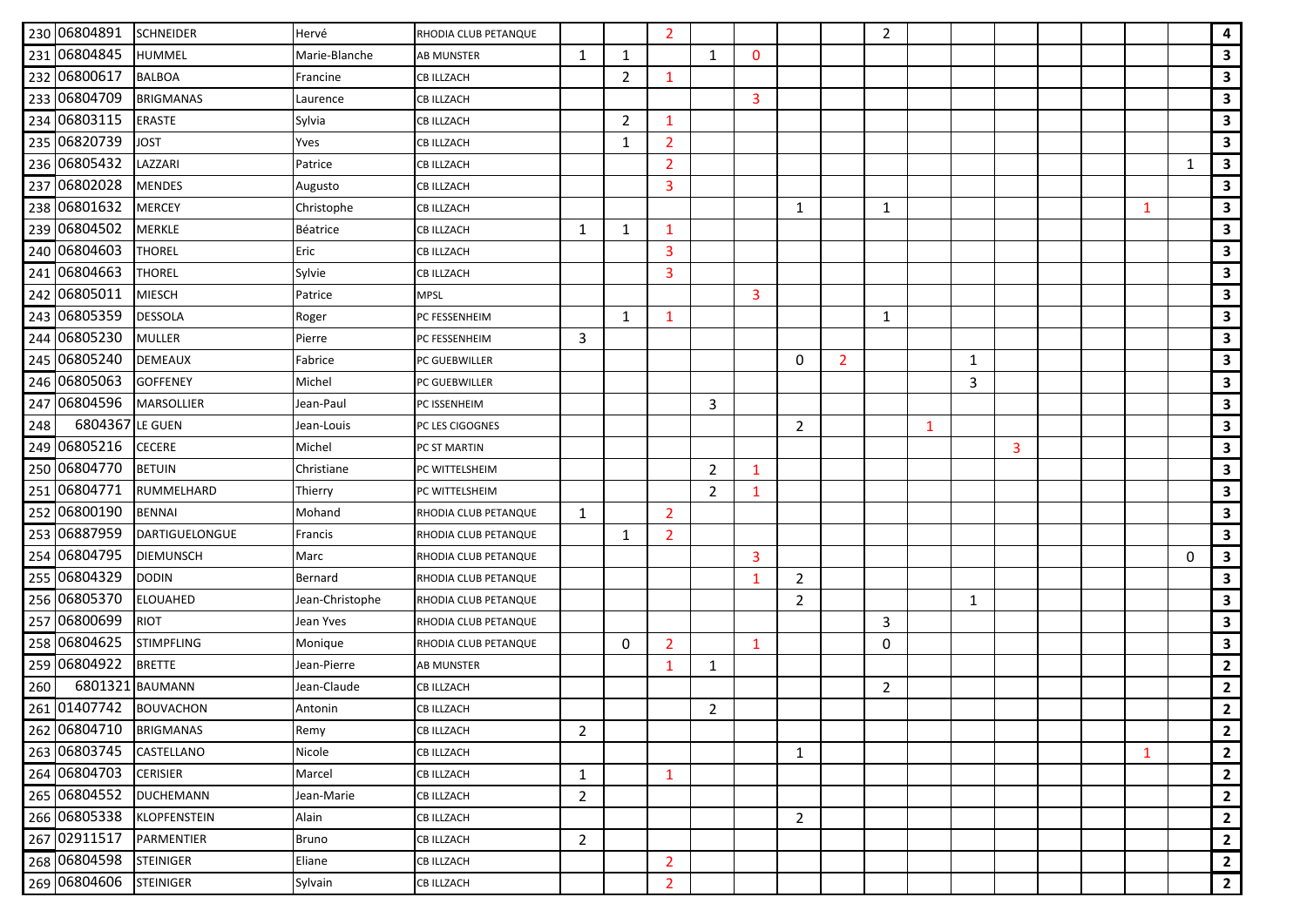|     | 230 06804891           | <b>SCHNEIDER</b>      | Hervé           | RHODIA CLUB PETANQUE |                |                | $\overline{2}$ |                |              |                |                | $\overline{2}$ |   |   |   |  |              |          | $\overline{\mathbf{4}}$ |
|-----|------------------------|-----------------------|-----------------|----------------------|----------------|----------------|----------------|----------------|--------------|----------------|----------------|----------------|---|---|---|--|--------------|----------|-------------------------|
|     | 231 06804845           | HUMMEL                | Marie-Blanche   | <b>AB MUNSTER</b>    | 1              | 1              |                | 1              | $\mathbf{0}$ |                |                |                |   |   |   |  |              |          | 3                       |
|     | 232 06800617           | <b>BALBOA</b>         | Francine        | <b>CB ILLZACH</b>    |                | $\overline{2}$ | 1              |                |              |                |                |                |   |   |   |  |              |          | $\mathbf{3}$            |
|     | 233 06804709           | <b>BRIGMANAS</b>      | Laurence        | <b>CB ILLZACH</b>    |                |                |                |                | 3            |                |                |                |   |   |   |  |              |          | $\mathbf{3}$            |
|     | 234 06803115           | <b>ERASTE</b>         | Sylvia          | <b>CB ILLZACH</b>    |                | $\overline{2}$ | $\mathbf{1}$   |                |              |                |                |                |   |   |   |  |              |          | $\mathbf{3}$            |
|     | 235 06820739           | <b>JOST</b>           | Yves            | <b>CB ILLZACH</b>    |                | $\mathbf{1}$   | 2              |                |              |                |                |                |   |   |   |  |              |          | $\mathbf{3}$            |
|     | 236 06805432           | LAZZARI               | Patrice         | <b>CB ILLZACH</b>    |                |                | $\overline{2}$ |                |              |                |                |                |   |   |   |  |              | 1        | $\mathbf{3}$            |
|     | 237 06802028           | <b>MENDES</b>         | Augusto         | <b>CB ILLZACH</b>    |                |                | 3              |                |              |                |                |                |   |   |   |  |              |          | $\mathbf{3}$            |
|     | 238 06801632           | <b>MERCEY</b>         | Christophe      | <b>CB ILLZACH</b>    |                |                |                |                |              | 1              |                | 1              |   |   |   |  | 1            |          | $\mathbf{3}$            |
|     | 239 06804502           | <b>MERKLE</b>         | Béatrice        | <b>CB ILLZACH</b>    | $\mathbf{1}$   | 1              | -1             |                |              |                |                |                |   |   |   |  |              |          | $\mathbf{3}$            |
|     | 240 06804603           | <b>THOREL</b>         | Eric            | <b>CB ILLZACH</b>    |                |                | 3              |                |              |                |                |                |   |   |   |  |              |          | $\mathbf{3}$            |
|     | 241 06804663           | <b>THOREL</b>         | Sylvie          | <b>CB ILLZACH</b>    |                |                | 3              |                |              |                |                |                |   |   |   |  |              |          | $\mathbf{3}$            |
|     | 242 06805011           | <b>MIESCH</b>         | Patrice         | <b>MPSL</b>          |                |                |                |                | 3            |                |                |                |   |   |   |  |              |          | $\mathbf{3}$            |
|     | 243 06805359           | <b>DESSOLA</b>        | Roger           | PC FESSENHEIM        |                | 1              | $\mathbf{1}$   |                |              |                |                | 1              |   |   |   |  |              |          | $\mathbf{3}$            |
|     | 244 06805230           | <b>MULLER</b>         | Pierre          | PC FESSENHEIM        | 3              |                |                |                |              |                |                |                |   |   |   |  |              |          | $\mathbf{3}$            |
|     | 245 06805240           | <b>DEMEAUX</b>        | Fabrice         | PC GUEBWILLER        |                |                |                |                |              | $\mathbf{0}$   | $\overline{2}$ |                |   | 1 |   |  |              |          | $\mathbf{3}$            |
|     | 246 06805063           | <b>GOFFENEY</b>       | Michel          | PC GUEBWILLER        |                |                |                |                |              |                |                |                |   | 3 |   |  |              |          | $\mathbf{3}$            |
|     | 247 06804596           | <b>MARSOLLIER</b>     | Jean-Paul       | PC ISSENHEIM         |                |                |                | 3              |              |                |                |                |   |   |   |  |              |          | $\mathbf{3}$            |
| 248 | 6804367                | LE GUEN               | Jean-Louis      | PC LES CIGOGNES      |                |                |                |                |              | 2              |                |                | 1 |   |   |  |              |          | $\mathbf{3}$            |
|     | 249 06805216           | <b>CECERE</b>         | Michel          | PC ST MARTIN         |                |                |                |                |              |                |                |                |   |   | 3 |  |              |          | $\mathbf{3}$            |
|     | 250 06804770           | <b>BETUIN</b>         | Christiane      | PC WITTELSHEIM       |                |                |                | $\overline{2}$ | $\mathbf{1}$ |                |                |                |   |   |   |  |              |          | $\mathbf{3}$            |
|     | 251 06804771           | RUMMELHARD            | Thierry         | PC WITTELSHEIM       |                |                |                | 2              | 1            |                |                |                |   |   |   |  |              |          | $\mathbf{3}$            |
|     | 252 06800190           | <b>BENNAI</b>         | Mohand          | RHODIA CLUB PETANQUE | 1              |                | $\overline{2}$ |                |              |                |                |                |   |   |   |  |              |          | $\mathbf{3}$            |
|     | 253 06887959           | <b>DARTIGUELONGUE</b> | Francis         | RHODIA CLUB PETANQUE |                | 1              | 2              |                |              |                |                |                |   |   |   |  |              |          | $\mathbf{3}$            |
|     | 254 06804795           | <b>DIEMUNSCH</b>      | Marc            | RHODIA CLUB PETANQUE |                |                |                |                | 3            |                |                |                |   |   |   |  |              | $\Omega$ | $\mathbf{3}$            |
|     | 255 06804329           | <b>DODIN</b>          | Bernard         | RHODIA CLUB PETANQUE |                |                |                |                | 1            | $\overline{2}$ |                |                |   |   |   |  |              |          | $\mathbf{3}$            |
|     | 256 06805370           | <b>ELOUAHED</b>       | Jean-Christophe | RHODIA CLUB PETANQUE |                |                |                |                |              | $\overline{2}$ |                |                |   | 1 |   |  |              |          | $\mathbf{3}$            |
|     | 257 06800699           | <b>RIOT</b>           | Jean Yves       | RHODIA CLUB PETANQUE |                |                |                |                |              |                |                | 3              |   |   |   |  |              |          | $\mathbf{3}$            |
|     | 258 06804625           | <b>STIMPFLING</b>     | Monique         | RHODIA CLUB PETANQUE |                | 0              | $\overline{2}$ |                | $\mathbf{1}$ |                |                | 0              |   |   |   |  |              |          | $\mathbf{3}$            |
|     | 259 06804922           | <b>BRETTE</b>         | Jean-Pierre     | AB MUNSTER           |                |                | 1              | 1              |              |                |                |                |   |   |   |  |              |          | $\overline{2}$          |
| 260 | 6801321                | <b>BAUMANN</b>        | Jean-Claude     | <b>CB ILLZACH</b>    |                |                |                |                |              |                |                | $\overline{2}$ |   |   |   |  |              |          | $\overline{2}$          |
|     | 261 01407742 BOUVACHON |                       | Antonin         | <b>CB ILLZACH</b>    |                |                |                | $\overline{2}$ |              |                |                |                |   |   |   |  |              |          | $\overline{2}$          |
|     | 262 06804710           | <b>BRIGMANAS</b>      | Remy            | <b>CB ILLZACH</b>    | $\overline{2}$ |                |                |                |              |                |                |                |   |   |   |  |              |          | $\mathbf{2}$            |
|     | 263 06803745           | CASTELLANO            | Nicole          | <b>CB ILLZACH</b>    |                |                |                |                |              | 1              |                |                |   |   |   |  | $\mathbf{1}$ |          | $\overline{2}$          |
|     | 264 06804703           | <b>CERISIER</b>       | Marcel          | <b>CB ILLZACH</b>    | $\mathbf{1}$   |                | $\mathbf 1$    |                |              |                |                |                |   |   |   |  |              |          | $\overline{2}$          |
|     | 265 06804552           | <b>DUCHEMANN</b>      | Jean-Marie      | <b>CB ILLZACH</b>    | $\overline{2}$ |                |                |                |              |                |                |                |   |   |   |  |              |          | $\mathbf{2}$            |
|     | 266 06805338           | <b>KLOPFENSTEIN</b>   | Alain           | <b>CB ILLZACH</b>    |                |                |                |                |              | $\overline{2}$ |                |                |   |   |   |  |              |          | $\mathbf{2}$            |
|     | 267 02911517           | PARMENTIER            | Bruno           | <b>CB ILLZACH</b>    | $\overline{2}$ |                |                |                |              |                |                |                |   |   |   |  |              |          | $\overline{2}$          |
|     | 268 06804598           | <b>STEINIGER</b>      | Eliane          | <b>CB ILLZACH</b>    |                |                | $\overline{2}$ |                |              |                |                |                |   |   |   |  |              |          | $\overline{2}$          |
|     | 269 06804606           | <b>STEINIGER</b>      | Sylvain         | <b>CB ILLZACH</b>    |                |                | $\overline{2}$ |                |              |                |                |                |   |   |   |  |              |          | $\overline{2}$          |
|     |                        |                       |                 |                      |                |                |                |                |              |                |                |                |   |   |   |  |              |          |                         |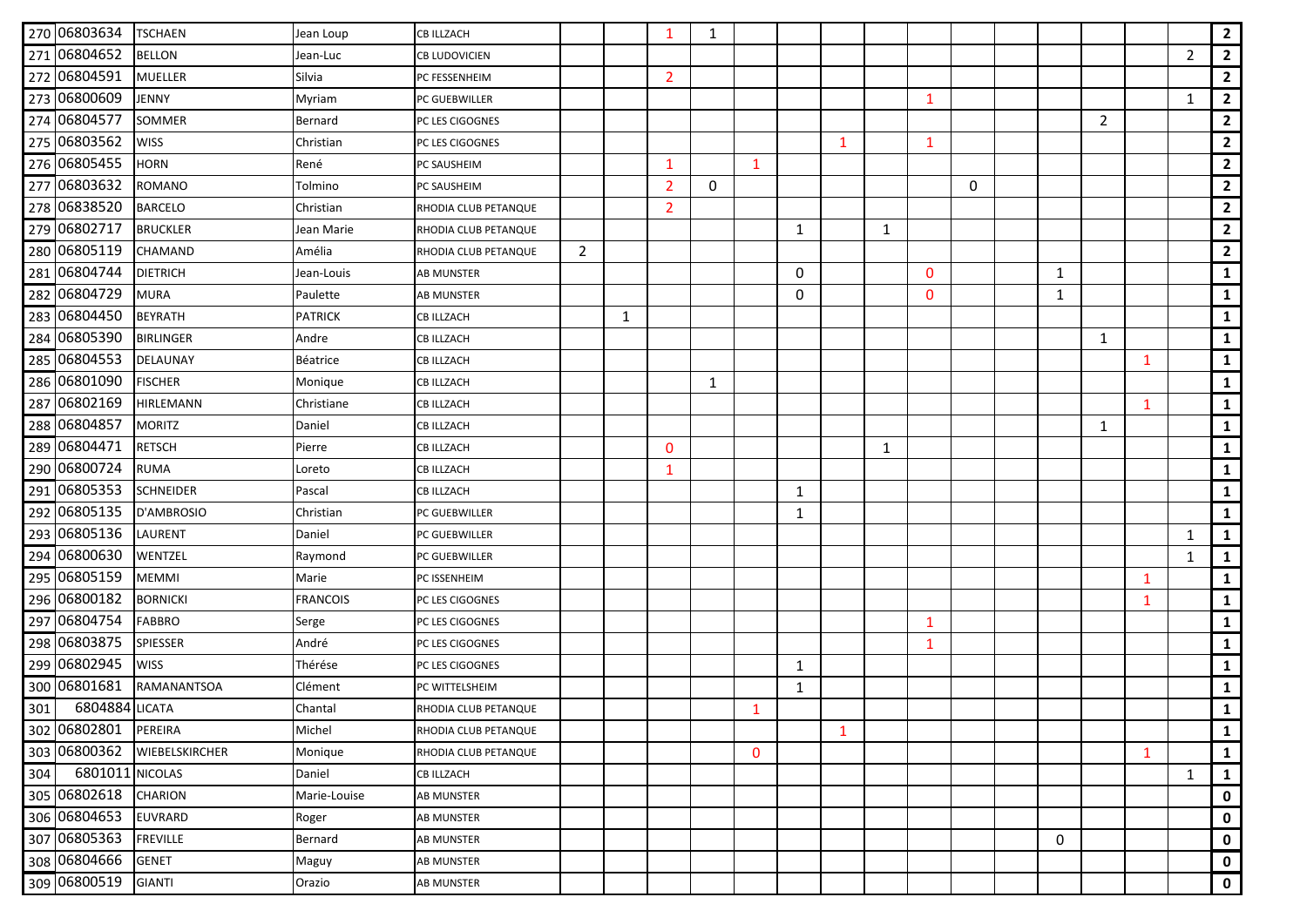|     | 270 06803634   | <b>TSCHAEN</b>   | Jean Loup       | <b>CB ILLZACH</b>    |                |              | -1             | $\mathbf{1}$ |              |   |              |   |              |          |             |              |              |                | $\overline{2}$ |
|-----|----------------|------------------|-----------------|----------------------|----------------|--------------|----------------|--------------|--------------|---|--------------|---|--------------|----------|-------------|--------------|--------------|----------------|----------------|
|     | 271 06804652   | <b>BELLON</b>    | Jean-Luc        | <b>CB LUDOVICIEN</b> |                |              |                |              |              |   |              |   |              |          |             |              |              | $\overline{2}$ | $\overline{2}$ |
|     | 272 06804591   | <b>MUELLER</b>   | Silvia          | PC FESSENHEIM        |                |              | $\overline{2}$ |              |              |   |              |   |              |          |             |              |              |                | $\overline{2}$ |
|     | 273 06800609   | JENNY            | Myriam          | PC GUEBWILLER        |                |              |                |              |              |   |              |   | 1            |          |             |              |              | 1              | $\overline{2}$ |
|     | 274 06804577   | SOMMER           | Bernard         | PC LES CIGOGNES      |                |              |                |              |              |   |              |   |              |          |             | 2            |              |                | $\overline{2}$ |
|     | 275 06803562   | <b>WISS</b>      | Christian       | PC LES CIGOGNES      |                |              |                |              |              |   | $\mathbf{1}$ |   | $\mathbf 1$  |          |             |              |              |                | $\overline{2}$ |
|     | 276 06805455   | <b>HORN</b>      | René            | PC SAUSHEIM          |                |              | 1              |              | $\mathbf{1}$ |   |              |   |              |          |             |              |              |                | $\overline{2}$ |
|     | 277 06803632   | <b>ROMANO</b>    | Tolmino         | PC SAUSHEIM          |                |              | 2              | $\Omega$     |              |   |              |   |              | $\Omega$ |             |              |              |                | $\overline{2}$ |
|     | 278 06838520   | <b>BARCELO</b>   | Christian       | RHODIA CLUB PETANQUE |                |              | 2              |              |              |   |              |   |              |          |             |              |              |                | $\overline{2}$ |
|     | 279 06802717   | <b>BRUCKLER</b>  | Jean Marie      | RHODIA CLUB PETANQUE |                |              |                |              |              | 1 |              | 1 |              |          |             |              |              |                | $\overline{2}$ |
|     | 280 06805119   | CHAMAND          | Amélia          | RHODIA CLUB PETANQUE | $\overline{2}$ |              |                |              |              |   |              |   |              |          |             |              |              |                | $\overline{2}$ |
|     | 281 06804744   | <b>DIETRICH</b>  | Jean-Louis      | AB MUNSTER           |                |              |                |              |              | 0 |              |   | $\Omega$     |          | 1           |              |              |                | $\mathbf{1}$   |
|     | 282 06804729   | <b>MURA</b>      | Paulette        | AB MUNSTER           |                |              |                |              |              | 0 |              |   | $\Omega$     |          | 1           |              |              |                | $\mathbf{1}$   |
|     | 283 06804450   | <b>BEYRATH</b>   | <b>PATRICK</b>  | <b>CB ILLZACH</b>    |                | $\mathbf{1}$ |                |              |              |   |              |   |              |          |             |              |              |                | $\mathbf{1}$   |
|     | 284 06805390   | <b>BIRLINGER</b> | Andre           | <b>CB ILLZACH</b>    |                |              |                |              |              |   |              |   |              |          |             | 1            |              |                | $\mathbf{1}$   |
|     | 285 06804553   | DELAUNAY         | Béatrice        | <b>CB ILLZACH</b>    |                |              |                |              |              |   |              |   |              |          |             |              | $\mathbf{1}$ |                | $\mathbf{1}$   |
|     | 286 06801090   | <b>FISCHER</b>   | Monique         | <b>CB ILLZACH</b>    |                |              |                | $\mathbf{1}$ |              |   |              |   |              |          |             |              |              |                | $\mathbf{1}$   |
|     | 287 06802169   | HIRLEMANN        | Christiane      | <b>CB ILLZACH</b>    |                |              |                |              |              |   |              |   |              |          |             |              | 1            |                | $\mathbf{1}$   |
|     | 288 06804857   | <b>MORITZ</b>    | Daniel          | <b>CB ILLZACH</b>    |                |              |                |              |              |   |              |   |              |          |             | $\mathbf{1}$ |              |                | $\mathbf{1}$   |
|     | 289 06804471   | <b>RETSCH</b>    | Pierre          | <b>CB ILLZACH</b>    |                |              | $\Omega$       |              |              |   |              | 1 |              |          |             |              |              |                | $\mathbf{1}$   |
|     | 290 06800724   | <b>RUMA</b>      | Loreto          | <b>CB ILLZACH</b>    |                |              | 1              |              |              |   |              |   |              |          |             |              |              |                | $\mathbf{1}$   |
|     | 291 06805353   | <b>SCHNEIDER</b> | Pascal          | <b>CB ILLZACH</b>    |                |              |                |              |              | 1 |              |   |              |          |             |              |              |                | $\mathbf{1}$   |
|     | 292 06805135   | D'AMBROSIO       | Christian       | PC GUEBWILLER        |                |              |                |              |              | 1 |              |   |              |          |             |              |              |                | $\mathbf{1}$   |
|     | 293 06805136   | LAURENT          | Daniel          | PC GUEBWILLER        |                |              |                |              |              |   |              |   |              |          |             |              |              | 1              | $\mathbf{1}$   |
|     | 294 06800630   | WENTZEL          | Raymond         | PC GUEBWILLER        |                |              |                |              |              |   |              |   |              |          |             |              |              | 1              | $\mathbf{1}$   |
|     | 295 06805159   | <b>MEMMI</b>     | Marie           | PC ISSENHEIM         |                |              |                |              |              |   |              |   |              |          |             |              | 1            |                | $\mathbf{1}$   |
|     | 296 06800182   | <b>BORNICKI</b>  | <b>FRANCOIS</b> | PC LES CIGOGNES      |                |              |                |              |              |   |              |   |              |          |             |              | $\mathbf{1}$ |                | $\mathbf{1}$   |
|     | 297 06804754   | <b>FABBRO</b>    | Serge           | PC LES CIGOGNES      |                |              |                |              |              |   |              |   | $\mathbf{1}$ |          |             |              |              |                | $\mathbf{1}$   |
|     | 298 06803875   | <b>SPIESSER</b>  | André           | PC LES CIGOGNES      |                |              |                |              |              |   |              |   | 1            |          |             |              |              |                | $\mathbf{1}$   |
|     | 299 06802945   | <b>WISS</b>      | Thérése         | PC LES CIGOGNES      |                |              |                |              |              | 1 |              |   |              |          |             |              |              |                | $\mathbf{1}$   |
|     | 300 06801681   | RAMANANTSOA      | Clément         | PC WITTELSHEIM       |                |              |                |              |              | 1 |              |   |              |          |             |              |              |                | $\mathbf{1}$   |
| 301 | 6804884 LICATA |                  | Chantal         | RHODIA CLUB PETANQUE |                |              |                |              | -1           |   |              |   |              |          |             |              |              |                | $\mathbf{1}$   |
|     | 302 06802801   | PEREIRA          | Michel          | RHODIA CLUB PETANQUE |                |              |                |              |              |   | $\mathbf{1}$ |   |              |          |             |              |              |                | $\mathbf{1}$   |
|     | 303 06800362   | WIEBELSKIRCHER   | Monique         | RHODIA CLUB PETANQUE |                |              |                |              | $\mathbf{0}$ |   |              |   |              |          |             |              | $\mathbf{1}$ |                | $\mathbf{1}$   |
| 304 | 6801011        | <b>NICOLAS</b>   | Daniel          | <b>CB ILLZACH</b>    |                |              |                |              |              |   |              |   |              |          |             |              |              | 1              | $\mathbf{1}$   |
|     | 305 06802618   | <b>CHARION</b>   | Marie-Louise    | <b>AB MUNSTER</b>    |                |              |                |              |              |   |              |   |              |          |             |              |              |                | $\mathbf 0$    |
|     | 306 06804653   | <b>EUVRARD</b>   | Roger           | <b>AB MUNSTER</b>    |                |              |                |              |              |   |              |   |              |          |             |              |              |                | $\mathbf 0$    |
|     | 307 06805363   | <b>FREVILLE</b>  | Bernard         | AB MUNSTER           |                |              |                |              |              |   |              |   |              |          | $\mathbf 0$ |              |              |                | $\mathbf 0$    |
|     | 308 06804666   | <b>GENET</b>     | Maguy           | <b>AB MUNSTER</b>    |                |              |                |              |              |   |              |   |              |          |             |              |              |                | $\mathbf 0$    |
|     | 309 06800519   | <b>GIANTI</b>    | Orazio          | <b>AB MUNSTER</b>    |                |              |                |              |              |   |              |   |              |          |             |              |              |                | $\mathbf 0$    |
|     |                |                  |                 |                      |                |              |                |              |              |   |              |   |              |          |             |              |              |                |                |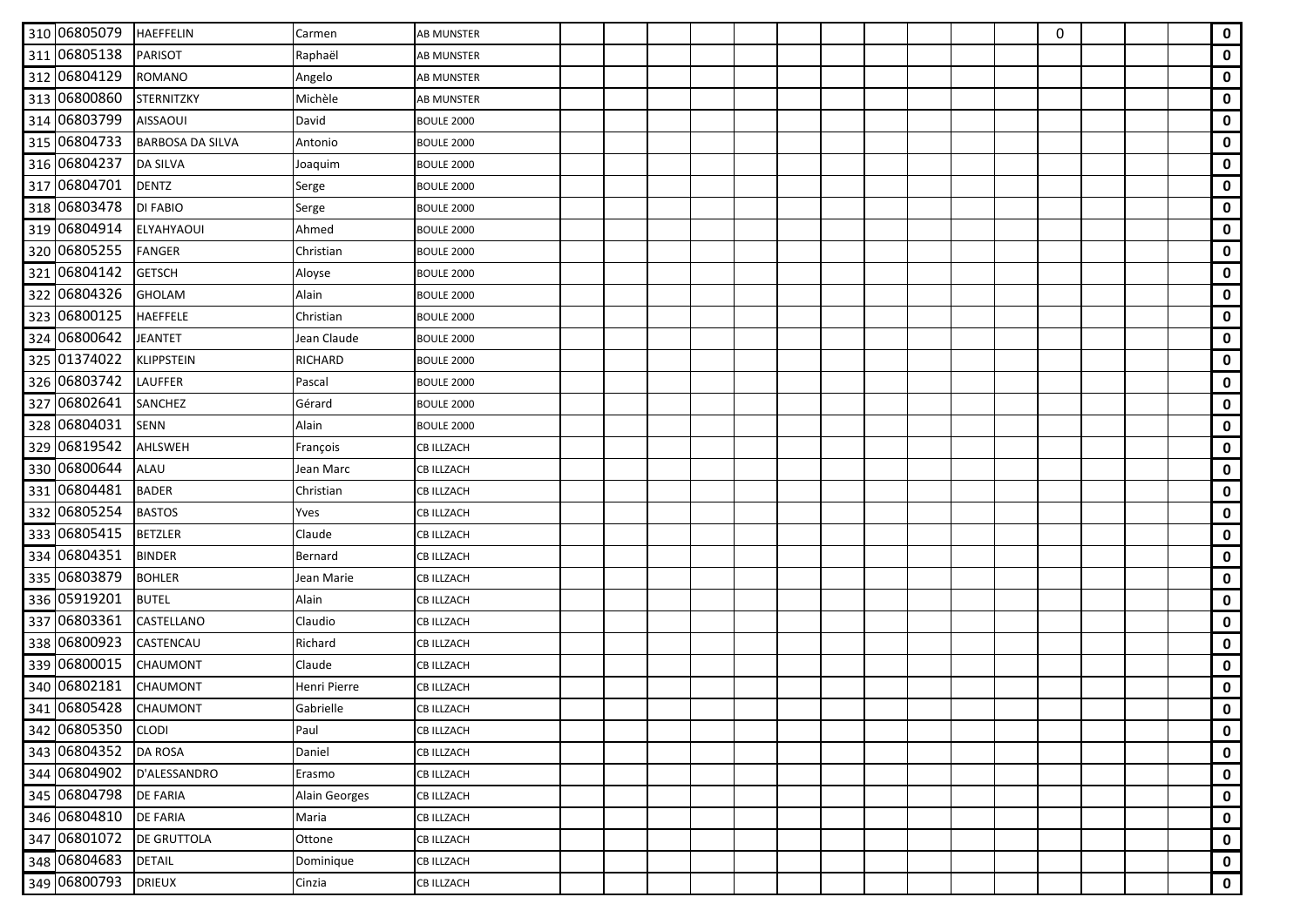| 310 06805079 | <b>HAEFFELIN</b>        | Carmen         | <b>AB MUNSTER</b> |  |  |  |  |  | 0 |  | $\mathbf 0$ |
|--------------|-------------------------|----------------|-------------------|--|--|--|--|--|---|--|-------------|
| 311 06805138 | <b>PARISOT</b>          | Raphaël        | <b>AB MUNSTER</b> |  |  |  |  |  |   |  | $\mathbf 0$ |
| 312 06804129 | <b>ROMANO</b>           | Angelo         | <b>AB MUNSTER</b> |  |  |  |  |  |   |  | $\mathbf 0$ |
| 313 06800860 | <b>STERNITZKY</b>       | Michèle        | AB MUNSTER        |  |  |  |  |  |   |  | $\mathbf 0$ |
| 314 06803799 | <b>AISSAOUI</b>         | David          | <b>BOULE 2000</b> |  |  |  |  |  |   |  | $\mathbf 0$ |
| 315 06804733 | <b>BARBOSA DA SILVA</b> | Antonio        | <b>BOULE 2000</b> |  |  |  |  |  |   |  | $\mathbf 0$ |
| 316 06804237 | <b>DA SILVA</b>         | Joaquim        | <b>BOULE 2000</b> |  |  |  |  |  |   |  | $\mathbf 0$ |
| 317 06804701 | <b>DENTZ</b>            | Serge          | <b>BOULE 2000</b> |  |  |  |  |  |   |  | $\mathbf 0$ |
| 318 06803478 | <b>DI FABIO</b>         | Serge          | <b>BOULE 2000</b> |  |  |  |  |  |   |  | $\mathbf 0$ |
| 319 06804914 | <b>ELYAHYAOUI</b>       | Ahmed          | <b>BOULE 2000</b> |  |  |  |  |  |   |  | $\mathbf 0$ |
| 320 06805255 | <b>FANGER</b>           | Christian      | <b>BOULE 2000</b> |  |  |  |  |  |   |  | $\mathbf 0$ |
| 321 06804142 | <b>GETSCH</b>           | Aloyse         | <b>BOULE 2000</b> |  |  |  |  |  |   |  | $\mathbf 0$ |
| 322 06804326 | <b>GHOLAM</b>           | Alain          | <b>BOULE 2000</b> |  |  |  |  |  |   |  | $\mathbf 0$ |
| 323 06800125 | <b>HAEFFELE</b>         | Christian      | <b>BOULE 2000</b> |  |  |  |  |  |   |  | $\mathbf 0$ |
| 324 06800642 | <b>JEANTET</b>          | Jean Claude    | <b>BOULE 2000</b> |  |  |  |  |  |   |  | $\mathbf 0$ |
| 325 01374022 | <b>KLIPPSTEIN</b>       | <b>RICHARD</b> | <b>BOULE 2000</b> |  |  |  |  |  |   |  | $\mathbf 0$ |
| 326 06803742 | <b>LAUFFER</b>          | Pascal         | <b>BOULE 2000</b> |  |  |  |  |  |   |  | $\pmb{0}$   |
| 327 06802641 | <b>SANCHEZ</b>          | Gérard         | <b>BOULE 2000</b> |  |  |  |  |  |   |  | $\mathbf 0$ |
| 328 06804031 | <b>SENN</b>             | Alain          | <b>BOULE 2000</b> |  |  |  |  |  |   |  | $\mathbf 0$ |
| 329 06819542 | <b>AHLSWEH</b>          | François       | <b>CB ILLZACH</b> |  |  |  |  |  |   |  | $\mathbf 0$ |
| 330 06800644 | <b>ALAU</b>             | Jean Marc      | <b>CB ILLZACH</b> |  |  |  |  |  |   |  | $\mathbf 0$ |
| 331 06804481 | <b>BADER</b>            | Christian      | CB ILLZACH        |  |  |  |  |  |   |  | $\mathbf 0$ |
| 332 06805254 | <b>BASTOS</b>           | Yves           | <b>CB ILLZACH</b> |  |  |  |  |  |   |  | $\mathbf 0$ |
| 333 06805415 | <b>BETZLER</b>          | Claude         | CB ILLZACH        |  |  |  |  |  |   |  | $\mathbf 0$ |
| 334 06804351 | <b>BINDER</b>           | Bernard        | <b>CB ILLZACH</b> |  |  |  |  |  |   |  | $\mathbf 0$ |
| 335 06803879 | <b>BOHLER</b>           | Jean Marie     | <b>CB ILLZACH</b> |  |  |  |  |  |   |  | $\mathbf 0$ |
| 336 05919201 | <b>BUTEL</b>            | Alain          | CB ILLZACH        |  |  |  |  |  |   |  | $\mathbf 0$ |
| 337 06803361 | CASTELLANO              | Claudio        | CB ILLZACH        |  |  |  |  |  |   |  | $\mathbf 0$ |
| 338 06800923 | <b>CASTENCAU</b>        | Richard        | <b>CB ILLZACH</b> |  |  |  |  |  |   |  | $\mathbf 0$ |
| 339 06800015 | CHAUMONT                | Claude         | CB ILLZACH        |  |  |  |  |  |   |  | $\mathbf 0$ |
| 340 06802181 | <b>CHAUMONT</b>         | Henri Pierre   | CB ILLZACH        |  |  |  |  |  |   |  | $\mathbf 0$ |
| 341 06805428 | CHAUMONT                | Gabrielle      | <b>CB ILLZACH</b> |  |  |  |  |  |   |  | $\mathbf 0$ |
| 342 06805350 | <b>CLODI</b>            | Paul           | <b>CB ILLZACH</b> |  |  |  |  |  |   |  | $\mathbf 0$ |
| 343 06804352 | <b>DA ROSA</b>          | Daniel         | <b>CB ILLZACH</b> |  |  |  |  |  |   |  | $\mathbf 0$ |
| 344 06804902 | D'ALESSANDRO            | Erasmo         | <b>CB ILLZACH</b> |  |  |  |  |  |   |  | $\mathbf 0$ |
| 345 06804798 | <b>DE FARIA</b>         | Alain Georges  | <b>CB ILLZACH</b> |  |  |  |  |  |   |  | 0           |
| 346 06804810 | <b>DE FARIA</b>         | Maria          | <b>CB ILLZACH</b> |  |  |  |  |  |   |  | $\mathbf 0$ |
| 347 06801072 | <b>DE GRUTTOLA</b>      | Ottone         | <b>CB ILLZACH</b> |  |  |  |  |  |   |  | $\mathbf 0$ |
| 348 06804683 | <b>DETAIL</b>           | Dominique      | <b>CB ILLZACH</b> |  |  |  |  |  |   |  | 0           |
| 349 06800793 | <b>DRIEUX</b>           | Cinzia         | <b>CB ILLZACH</b> |  |  |  |  |  |   |  | $\mathbf 0$ |
|              |                         |                |                   |  |  |  |  |  |   |  |             |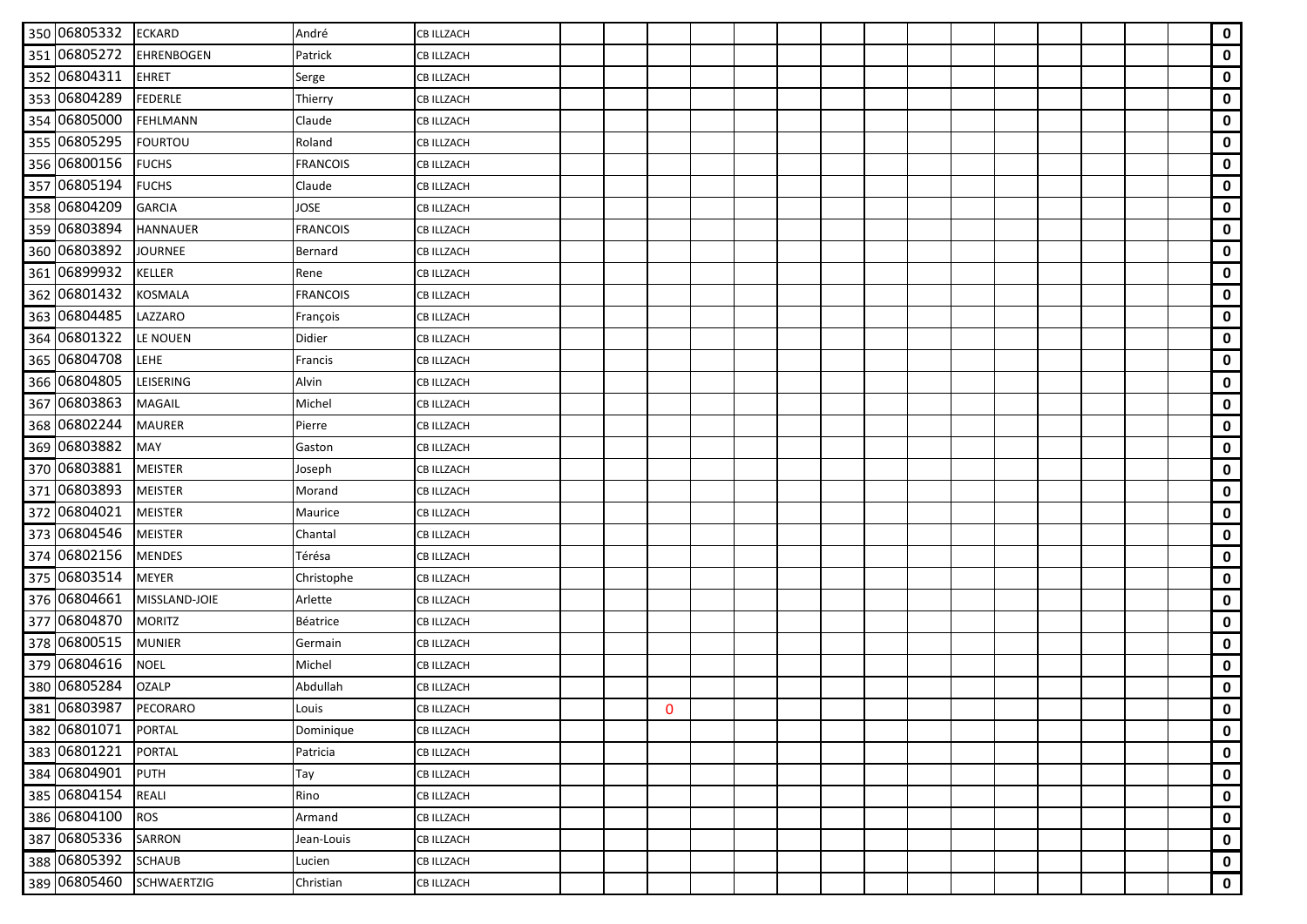| 350 06805332 | <b>ECKARD</b>      | André           | <b>CB ILLZACH</b> |  |              |  |  |  |  |  |  | $\mathbf 0$ |
|--------------|--------------------|-----------------|-------------------|--|--------------|--|--|--|--|--|--|-------------|
| 351 06805272 | <b>EHRENBOGEN</b>  | Patrick         | <b>CB ILLZACH</b> |  |              |  |  |  |  |  |  | $\mathbf 0$ |
| 352 06804311 | <b>EHRET</b>       | Serge           | <b>CB ILLZACH</b> |  |              |  |  |  |  |  |  | $\mathbf 0$ |
| 353 06804289 | <b>FEDERLE</b>     | Thierry         | <b>CB ILLZACH</b> |  |              |  |  |  |  |  |  | $\mathbf 0$ |
| 354 06805000 | <b>FEHLMANN</b>    | Claude          | <b>CB ILLZACH</b> |  |              |  |  |  |  |  |  | $\mathbf 0$ |
| 355 06805295 | <b>FOURTOU</b>     | Roland          | CB ILLZACH        |  |              |  |  |  |  |  |  | $\mathbf 0$ |
| 356 06800156 | <b>FUCHS</b>       | <b>FRANCOIS</b> | <b>CB ILLZACH</b> |  |              |  |  |  |  |  |  | $\mathbf 0$ |
| 357 06805194 | <b>FUCHS</b>       | Claude          | <b>CB ILLZACH</b> |  |              |  |  |  |  |  |  | $\mathbf 0$ |
| 358 06804209 | <b>GARCIA</b>      | JOSE            | CB ILLZACH        |  |              |  |  |  |  |  |  | $\mathbf 0$ |
| 359 06803894 | <b>HANNAUER</b>    | <b>FRANCOIS</b> | <b>CB ILLZACH</b> |  |              |  |  |  |  |  |  | $\mathbf 0$ |
| 360 06803892 | <b>JOURNEE</b>     | Bernard         | <b>CB ILLZACH</b> |  |              |  |  |  |  |  |  | $\mathbf 0$ |
| 361 06899932 | <b>KELLER</b>      | Rene            | <b>CB ILLZACH</b> |  |              |  |  |  |  |  |  | $\mathbf 0$ |
| 362 06801432 | <b>KOSMALA</b>     | <b>FRANCOIS</b> | <b>CB ILLZACH</b> |  |              |  |  |  |  |  |  | $\mathbf 0$ |
| 363 06804485 | LAZZARO            | François        | <b>CB ILLZACH</b> |  |              |  |  |  |  |  |  | $\mathbf 0$ |
| 364 06801322 | LE NOUEN           | Didier          | <b>CB ILLZACH</b> |  |              |  |  |  |  |  |  | $\mathbf 0$ |
| 365 06804708 | LEHE               | Francis         | CB ILLZACH        |  |              |  |  |  |  |  |  | $\mathbf 0$ |
| 366 06804805 | <b>LEISERING</b>   | Alvin           | <b>CB ILLZACH</b> |  |              |  |  |  |  |  |  | $\mathbf 0$ |
| 367 06803863 | <b>MAGAIL</b>      | Michel          | CB ILLZACH        |  |              |  |  |  |  |  |  | $\mathbf 0$ |
| 368 06802244 | <b>MAURER</b>      | Pierre          | CB ILLZACH        |  |              |  |  |  |  |  |  | $\mathbf 0$ |
| 369 06803882 | <b>MAY</b>         | Gaston          | <b>CB ILLZACH</b> |  |              |  |  |  |  |  |  | $\mathbf 0$ |
| 370 06803881 | <b>MEISTER</b>     | Joseph          | CB ILLZACH        |  |              |  |  |  |  |  |  | $\mathbf 0$ |
| 371 06803893 | <b>MEISTER</b>     | Morand          | <b>CB ILLZACH</b> |  |              |  |  |  |  |  |  | $\mathbf 0$ |
| 372 06804021 | <b>MEISTER</b>     | Maurice         | <b>CB ILLZACH</b> |  |              |  |  |  |  |  |  | $\mathbf 0$ |
| 373 06804546 | <b>MEISTER</b>     | Chantal         | <b>CB ILLZACH</b> |  |              |  |  |  |  |  |  | $\mathbf 0$ |
| 374 06802156 | <b>MENDES</b>      | Térésa          | <b>CB ILLZACH</b> |  |              |  |  |  |  |  |  | $\mathbf 0$ |
| 375 06803514 | <b>MEYER</b>       | Christophe      | <b>CB ILLZACH</b> |  |              |  |  |  |  |  |  | $\mathbf 0$ |
| 376 06804661 | MISSLAND-JOIE      | Arlette         | <b>CB ILLZACH</b> |  |              |  |  |  |  |  |  | 0           |
| 377 06804870 | <b>MORITZ</b>      | Béatrice        | <b>CB ILLZACH</b> |  |              |  |  |  |  |  |  | $\mathbf 0$ |
| 378 06800515 | <b>MUNIER</b>      | Germain         | <b>CB ILLZACH</b> |  |              |  |  |  |  |  |  | $\mathbf 0$ |
| 379 06804616 | <b>NOEL</b>        | Michel          | <b>CB ILLZACH</b> |  |              |  |  |  |  |  |  | $\mathbf 0$ |
| 380 06805284 | <b>OZALP</b>       | Abdullah        | <b>CB ILLZACH</b> |  |              |  |  |  |  |  |  | $\mathbf 0$ |
| 381 06803987 | PECORARO           | Louis           | <b>CB ILLZACH</b> |  | $\mathbf{0}$ |  |  |  |  |  |  | $\mathbf 0$ |
| 382 06801071 | <b>PORTAL</b>      | Dominique       | <b>CB ILLZACH</b> |  |              |  |  |  |  |  |  | $\mathbf 0$ |
| 383 06801221 | <b>PORTAL</b>      | Patricia        | <b>CB ILLZACH</b> |  |              |  |  |  |  |  |  | 0           |
| 384 06804901 | PUTH               | Tay             | <b>CB ILLZACH</b> |  |              |  |  |  |  |  |  | $\mathbf 0$ |
| 385 06804154 | <b>REALI</b>       | Rino            | CB ILLZACH        |  |              |  |  |  |  |  |  | 0           |
| 386 06804100 | <b>ROS</b>         | Armand          | CB ILLZACH        |  |              |  |  |  |  |  |  | 0           |
| 387 06805336 | <b>SARRON</b>      | Jean-Louis      | CB ILLZACH        |  |              |  |  |  |  |  |  | $\mathbf 0$ |
| 388 06805392 | <b>SCHAUB</b>      | Lucien          | <b>CB ILLZACH</b> |  |              |  |  |  |  |  |  | $\mathbf 0$ |
| 389 06805460 | <b>SCHWAERTZIG</b> | Christian       | <b>CB ILLZACH</b> |  |              |  |  |  |  |  |  | $\mathbf 0$ |
|              |                    |                 |                   |  |              |  |  |  |  |  |  |             |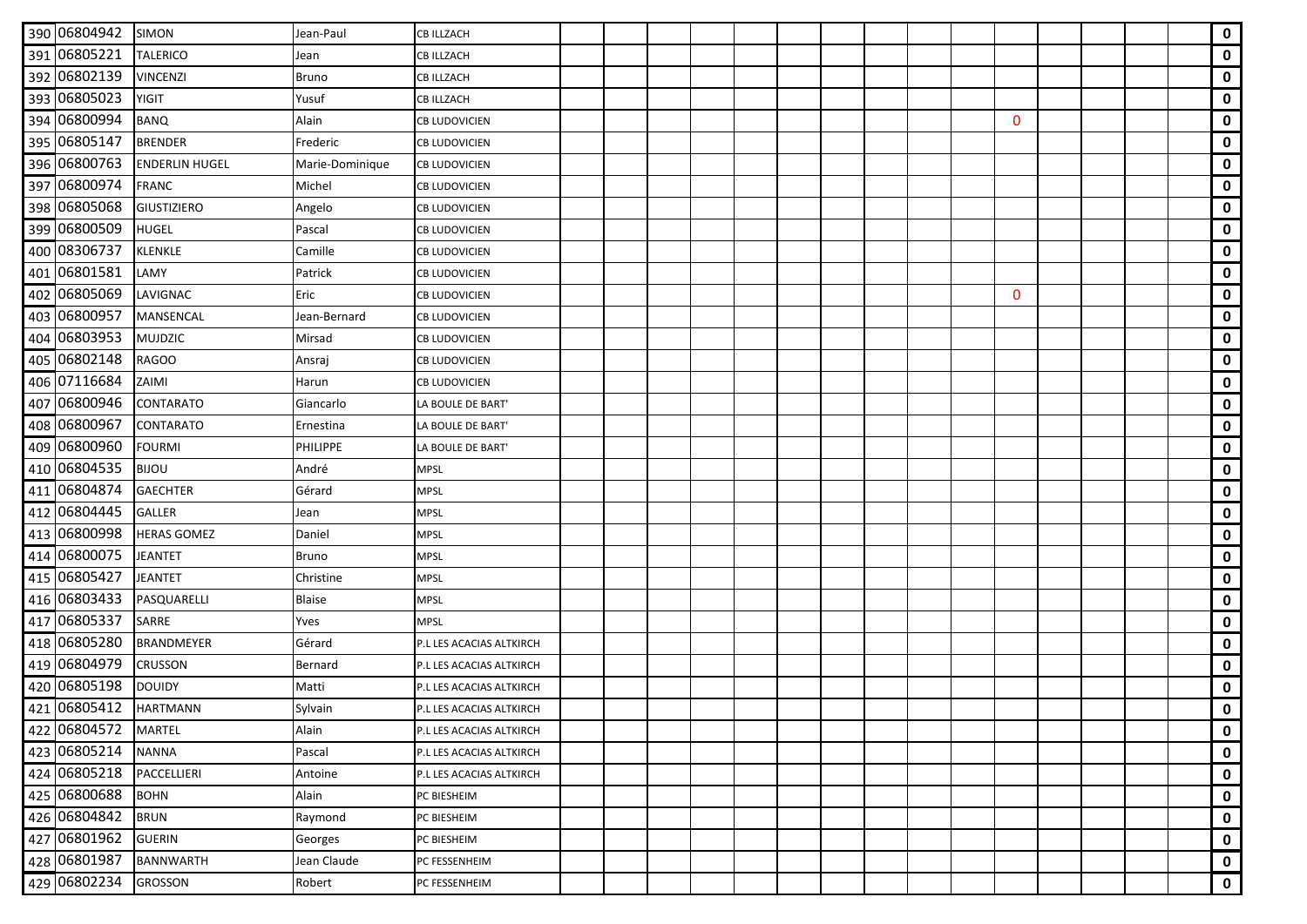| 390 06804942 | <b>SIMON</b>          | Jean-Paul       | <b>CB ILLZACH</b>        |  |  |  |  |  |              |  |  | $\mathbf 0$ |
|--------------|-----------------------|-----------------|--------------------------|--|--|--|--|--|--------------|--|--|-------------|
| 391 06805221 | <b>TALERICO</b>       | Jean            | <b>CB ILLZACH</b>        |  |  |  |  |  |              |  |  | $\mathbf 0$ |
| 392 06802139 | <b>VINCENZI</b>       | <b>Bruno</b>    | CB ILLZACH               |  |  |  |  |  |              |  |  | $\mathbf 0$ |
| 393 06805023 | <b>YIGIT</b>          | Yusuf           | <b>CB ILLZACH</b>        |  |  |  |  |  |              |  |  | $\mathbf 0$ |
| 394 06800994 | <b>BANQ</b>           | Alain           | <b>CB LUDOVICIEN</b>     |  |  |  |  |  | $\mathbf{0}$ |  |  | 0           |
| 395 06805147 | <b>BRENDER</b>        | Frederic        | CB LUDOVICIEN            |  |  |  |  |  |              |  |  | $\mathbf 0$ |
| 396 06800763 | <b>ENDERLIN HUGEL</b> | Marie-Dominique | <b>CB LUDOVICIEN</b>     |  |  |  |  |  |              |  |  | $\mathbf 0$ |
| 397 06800974 | <b>FRANC</b>          | Michel          | <b>CB LUDOVICIEN</b>     |  |  |  |  |  |              |  |  | $\mathbf 0$ |
| 398 06805068 | <b>GIUSTIZIERO</b>    | Angelo          | CB LUDOVICIEN            |  |  |  |  |  |              |  |  | $\mathbf 0$ |
| 399 06800509 | HUGEL                 | Pascal          | CB LUDOVICIEN            |  |  |  |  |  |              |  |  | $\mathbf 0$ |
| 400 08306737 | <b>KLENKLE</b>        | Camille         | <b>CB LUDOVICIEN</b>     |  |  |  |  |  |              |  |  | 0           |
| 401 06801581 | LAMY                  | Patrick         | CB LUDOVICIEN            |  |  |  |  |  |              |  |  | $\mathbf 0$ |
| 402 06805069 | LAVIGNAC              | Eric            | CB LUDOVICIEN            |  |  |  |  |  | $\mathbf{0}$ |  |  | $\mathbf 0$ |
| 403 06800957 | <b>MANSENCAL</b>      | Jean-Bernard    | <b>CB LUDOVICIEN</b>     |  |  |  |  |  |              |  |  | $\mathbf 0$ |
| 404 06803953 | <b>MUJDZIC</b>        | Mirsad          | <b>CB LUDOVICIEN</b>     |  |  |  |  |  |              |  |  | $\mathbf 0$ |
| 405 06802148 | <b>RAGOO</b>          | Ansraj          | CB LUDOVICIEN            |  |  |  |  |  |              |  |  | $\mathbf 0$ |
| 406 07116684 | ZAIMI                 | Harun           | <b>CB LUDOVICIEN</b>     |  |  |  |  |  |              |  |  | $\mathbf 0$ |
| 407 06800946 | CONTARATO             | Giancarlo       | LA BOULE DE BART'        |  |  |  |  |  |              |  |  | $\mathbf 0$ |
| 408 06800967 | CONTARATO             | Ernestina       | LA BOULE DE BART'        |  |  |  |  |  |              |  |  | $\mathbf 0$ |
| 409 06800960 | <b>FOURMI</b>         | <b>PHILIPPE</b> | LA BOULE DE BART'        |  |  |  |  |  |              |  |  | $\mathbf 0$ |
| 410 06804535 | <b>BIJOU</b>          | André           | <b>MPSL</b>              |  |  |  |  |  |              |  |  | $\mathbf 0$ |
| 411 06804874 | <b>GAECHTER</b>       | Gérard          | <b>MPSL</b>              |  |  |  |  |  |              |  |  | $\mathbf 0$ |
| 412 06804445 | <b>GALLER</b>         | Jean            | <b>MPSL</b>              |  |  |  |  |  |              |  |  | $\mathbf 0$ |
| 413 06800998 | <b>HERAS GOMEZ</b>    | Daniel          | <b>MPSL</b>              |  |  |  |  |  |              |  |  | $\mathbf 0$ |
| 414 06800075 | <b>JEANTET</b>        | <b>Bruno</b>    | <b>MPSL</b>              |  |  |  |  |  |              |  |  | $\mathbf 0$ |
| 415 06805427 | <b>JEANTET</b>        | Christine       | <b>MPSL</b>              |  |  |  |  |  |              |  |  | $\mathbf 0$ |
| 416 06803433 | PASQUARELLI           | <b>Blaise</b>   | <b>MPSL</b>              |  |  |  |  |  |              |  |  | 0           |
| 417 06805337 | SARRE                 | Yves            | <b>MPSL</b>              |  |  |  |  |  |              |  |  | $\mathbf 0$ |
| 418 06805280 | <b>BRANDMEYER</b>     | Gérard          | P.L LES ACACIAS ALTKIRCH |  |  |  |  |  |              |  |  | $\mathbf 0$ |
| 419 06804979 | <b>CRUSSON</b>        | Bernard         | P.L LES ACACIAS ALTKIRCH |  |  |  |  |  |              |  |  | $\mathbf 0$ |
| 420 06805198 | <b>DOUIDY</b>         | Matti           | P.L LES ACACIAS ALTKIRCH |  |  |  |  |  |              |  |  | $\mathbf 0$ |
| 421 06805412 | <b>HARTMANN</b>       | Sylvain         | P.L LES ACACIAS ALTKIRCH |  |  |  |  |  |              |  |  | $\mathbf 0$ |
| 422 06804572 | <b>MARTEL</b>         | Alain           | P.L LES ACACIAS ALTKIRCH |  |  |  |  |  |              |  |  | $\mathbf 0$ |
| 423 06805214 | <b>NANNA</b>          | Pascal          | P.L LES ACACIAS ALTKIRCH |  |  |  |  |  |              |  |  | 0           |
| 424 06805218 | PACCELLIERI           | Antoine         | P.L LES ACACIAS ALTKIRCH |  |  |  |  |  |              |  |  | $\mathbf 0$ |
| 425 06800688 | <b>BOHN</b>           | Alain           | PC BIESHEIM              |  |  |  |  |  |              |  |  | 0           |
| 426 06804842 | <b>BRUN</b>           | Raymond         | PC BIESHEIM              |  |  |  |  |  |              |  |  | 0           |
| 427 06801962 | <b>GUERIN</b>         | Georges         | PC BIESHEIM              |  |  |  |  |  |              |  |  | $\mathbf 0$ |
| 428 06801987 | <b>BANNWARTH</b>      | Jean Claude     | PC FESSENHEIM            |  |  |  |  |  |              |  |  | $\mathbf 0$ |
| 429 06802234 | <b>GROSSON</b>        | Robert          | PC FESSENHEIM            |  |  |  |  |  |              |  |  | $\mathbf 0$ |
|              |                       |                 |                          |  |  |  |  |  |              |  |  |             |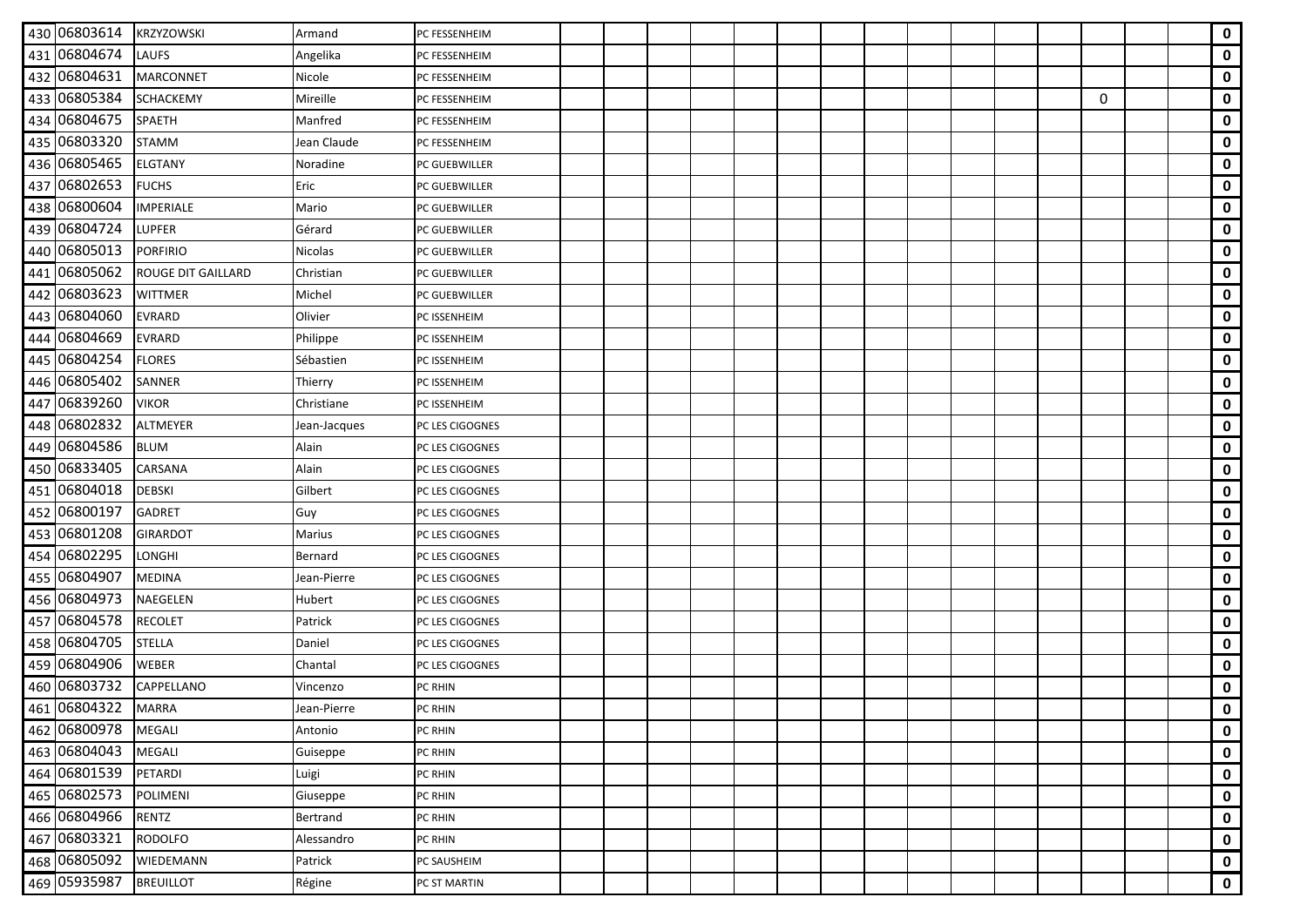| 430 06803614       | <b>KRZYZOWSKI</b>         | Armand       | PC FESSENHEIM   |  |  |  |  |  |  |   |  | $\mathbf 0$ |
|--------------------|---------------------------|--------------|-----------------|--|--|--|--|--|--|---|--|-------------|
| 431 06804674       | <b>LAUFS</b>              | Angelika     | PC FESSENHEIM   |  |  |  |  |  |  |   |  | $\mathbf 0$ |
| 432 06804631       | <b>MARCONNET</b>          | Nicole       | PC FESSENHEIM   |  |  |  |  |  |  |   |  | $\mathbf 0$ |
| 433 06805384       | <b>SCHACKEMY</b>          | Mireille     | PC FESSENHEIM   |  |  |  |  |  |  | 0 |  | $\mathbf 0$ |
| 434 06804675       | <b>SPAETH</b>             | Manfred      | PC FESSENHEIM   |  |  |  |  |  |  |   |  | $\mathbf 0$ |
| 435 06803320       | <b>STAMM</b>              | Jean Claude  | PC FESSENHEIM   |  |  |  |  |  |  |   |  | $\mathbf 0$ |
| 436 06805465       | <b>ELGTANY</b>            | Noradine     | PC GUEBWILLER   |  |  |  |  |  |  |   |  | $\mathbf 0$ |
| 437 06802653       | <b>FUCHS</b>              | Eric         | PC GUEBWILLER   |  |  |  |  |  |  |   |  | $\mathbf 0$ |
| 438 06800604       | <b>IMPERIALE</b>          | Mario        | PC GUEBWILLER   |  |  |  |  |  |  |   |  | $\mathbf 0$ |
| 439 06804724       | <b>LUPFER</b>             | Gérard       | PC GUEBWILLER   |  |  |  |  |  |  |   |  | $\mathbf 0$ |
| 440 06805013       | <b>PORFIRIO</b>           | Nicolas      | PC GUEBWILLER   |  |  |  |  |  |  |   |  | $\mathbf 0$ |
| 441 06805062       | <b>ROUGE DIT GAILLARD</b> | Christian    | PC GUEBWILLER   |  |  |  |  |  |  |   |  | $\mathbf 0$ |
| 442 06803623       | <b>WITTMER</b>            | Michel       | PC GUEBWILLER   |  |  |  |  |  |  |   |  | $\mathbf 0$ |
| 443 06804060       | <b>EVRARD</b>             | Olivier      | PC ISSENHEIM    |  |  |  |  |  |  |   |  | $\mathbf 0$ |
| 444 06804669       | <b>EVRARD</b>             | Philippe     | PC ISSENHEIM    |  |  |  |  |  |  |   |  | $\mathbf 0$ |
| 445 06804254       | <b>FLORES</b>             | Sébastien    | PC ISSENHEIM    |  |  |  |  |  |  |   |  | $\mathbf 0$ |
| 446 06805402       | <b>SANNER</b>             | Thierry      | PC ISSENHEIM    |  |  |  |  |  |  |   |  | $\mathbf 0$ |
| 447 06839260       | <b>VIKOR</b>              | Christiane   | PC ISSENHEIM    |  |  |  |  |  |  |   |  | $\mathbf 0$ |
| 448 06802832       | <b>ALTMEYER</b>           | Jean-Jacques | PC LES CIGOGNES |  |  |  |  |  |  |   |  | $\mathbf 0$ |
| 449 06804586       | <b>BLUM</b>               | Alain        | PC LES CIGOGNES |  |  |  |  |  |  |   |  | $\mathbf 0$ |
| 450 06833405       | CARSANA                   | Alain        | PC LES CIGOGNES |  |  |  |  |  |  |   |  | $\mathbf 0$ |
| 451 06804018       | <b>DEBSKI</b>             | Gilbert      | PC LES CIGOGNES |  |  |  |  |  |  |   |  | $\mathbf 0$ |
| 452 06800197       | <b>GADRET</b>             | Guy          | PC LES CIGOGNES |  |  |  |  |  |  |   |  | $\mathbf 0$ |
| 453 06801208       | <b>GIRARDOT</b>           | Marius       | PC LES CIGOGNES |  |  |  |  |  |  |   |  | $\mathbf 0$ |
| 454 06802295       | <b>LONGHI</b>             | Bernard      | PC LES CIGOGNES |  |  |  |  |  |  |   |  | $\mathbf 0$ |
| 455 06804907       | <b>MEDINA</b>             | Jean-Pierre  | PC LES CIGOGNES |  |  |  |  |  |  |   |  | $\mathbf 0$ |
| 456 06804973       | NAEGELEN                  | Hubert       | PC LES CIGOGNES |  |  |  |  |  |  |   |  | $\mathbf 0$ |
| 457 06804578       | <b>RECOLET</b>            | Patrick      | PC LES CIGOGNES |  |  |  |  |  |  |   |  | $\mathbf 0$ |
| 458 06804705       | <b>STELLA</b>             | Daniel       | PC LES CIGOGNES |  |  |  |  |  |  |   |  | $\mathbf 0$ |
| 459 06804906       | <b>WEBER</b>              | Chantal      | PC LES CIGOGNES |  |  |  |  |  |  |   |  | $\mathbf 0$ |
| 460 06803732       | CAPPELLANO                | Vincenzo     | PC RHIN         |  |  |  |  |  |  |   |  | $\mathbf 0$ |
| 461 06804322 MARRA |                           | Jean-Pierre  | PC RHIN         |  |  |  |  |  |  |   |  | $\mathbf 0$ |
| 462 06800978       | <b>MEGALI</b>             | Antonio      | PC RHIN         |  |  |  |  |  |  |   |  | $\mathbf 0$ |
| 463 06804043       | <b>MEGALI</b>             | Guiseppe     | PC RHIN         |  |  |  |  |  |  |   |  | $\mathbf 0$ |
| 464 06801539       | PETARDI                   | Luigi        | PC RHIN         |  |  |  |  |  |  |   |  | $\mathbf 0$ |
| 465 06802573       | POLIMENI                  | Giuseppe     | PC RHIN         |  |  |  |  |  |  |   |  | 0           |
| 466 06804966       | <b>RENTZ</b>              | Bertrand     | PC RHIN         |  |  |  |  |  |  |   |  | 0           |
| 467 06803321       | <b>RODOLFO</b>            | Alessandro   | PC RHIN         |  |  |  |  |  |  |   |  | $\mathbf 0$ |
| 468 06805092       | WIEDEMANN                 | Patrick      | PC SAUSHEIM     |  |  |  |  |  |  |   |  | $\mathbf 0$ |
| 469 05935987       | <b>BREUILLOT</b>          | Régine       | PC ST MARTIN    |  |  |  |  |  |  |   |  | $\mathbf 0$ |
|                    |                           |              |                 |  |  |  |  |  |  |   |  |             |